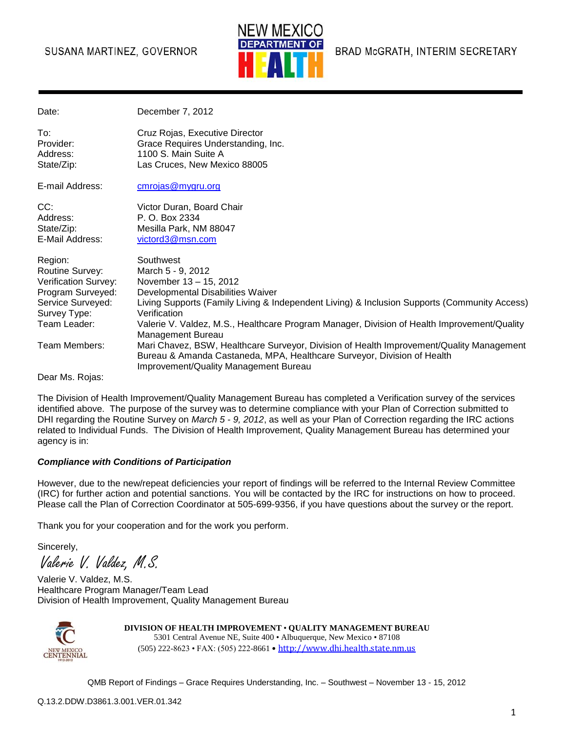# SUSANA MARTINEZ, GOVERNOR



| Date:                                                                                                                        | December 7, 2012                                                                                                                                                                                                                                                                                             |
|------------------------------------------------------------------------------------------------------------------------------|--------------------------------------------------------------------------------------------------------------------------------------------------------------------------------------------------------------------------------------------------------------------------------------------------------------|
| To:<br>Provider:<br>Address:<br>State/Zip:                                                                                   | Cruz Rojas, Executive Director<br>Grace Requires Understanding, Inc.<br>1100 S. Main Suite A<br>Las Cruces, New Mexico 88005                                                                                                                                                                                 |
| E-mail Address:                                                                                                              | cmrojas@mygru.org                                                                                                                                                                                                                                                                                            |
| CC:<br>Address:<br>State/Zip:<br>E-Mail Address:                                                                             | Victor Duran, Board Chair<br>P. O. Box 2334<br>Mesilla Park, NM 88047<br>victord3@msn.com                                                                                                                                                                                                                    |
| Region:<br>Routine Survey:<br>Verification Survey:<br>Program Surveyed:<br>Service Surveyed:<br>Survey Type:<br>Team Leader: | Southwest<br>March 5 - 9, 2012<br>November 13 - 15, 2012<br>Developmental Disabilities Waiver<br>Living Supports (Family Living & Independent Living) & Inclusion Supports (Community Access)<br>Verification<br>Valerie V. Valdez, M.S., Healthcare Program Manager, Division of Health Improvement/Quality |
| Team Members:                                                                                                                | Management Bureau<br>Mari Chavez, BSW, Healthcare Surveyor, Division of Health Improvement/Quality Management<br>Bureau & Amanda Castaneda, MPA, Healthcare Surveyor, Division of Health<br>Improvement/Quality Management Bureau                                                                            |
| Dear Ms. Rojas:                                                                                                              |                                                                                                                                                                                                                                                                                                              |

The Division of Health Improvement/Quality Management Bureau has completed a Verification survey of the services identified above. The purpose of the survey was to determine compliance with your Plan of Correction submitted to DHI regarding the Routine Survey on *March 5 - 9, 2012*, as well as your Plan of Correction regarding the IRC actions related to Individual Funds. The Division of Health Improvement, Quality Management Bureau has determined your agency is in:

#### *Compliance with Conditions of Participation*

However, due to the new/repeat deficiencies your report of findings will be referred to the Internal Review Committee (IRC) for further action and potential sanctions. You will be contacted by the IRC for instructions on how to proceed. Please call the Plan of Correction Coordinator at 505-699-9356, if you have questions about the survey or the report.

Thank you for your cooperation and for the work you perform.

Sincerely, Valerie V. Valdez, M.S.

Valerie V. Valdez, M.S. Healthcare Program Manager/Team Lead Division of Health Improvement, Quality Management Bureau



**DIVISION OF HEALTH IMPROVEMENT** • **QUALITY MANAGEMENT BUREAU** 5301 Central Avenue NE, Suite 400 • Albuquerque, New Mexico • 87108 (505) 222-8623 • FAX: (505) 222-8661 • http://www.dhi.health.state.nm.us

QMB Report of Findings – Grace Requires Understanding, Inc. – Southwest – November 13 - 15, 2012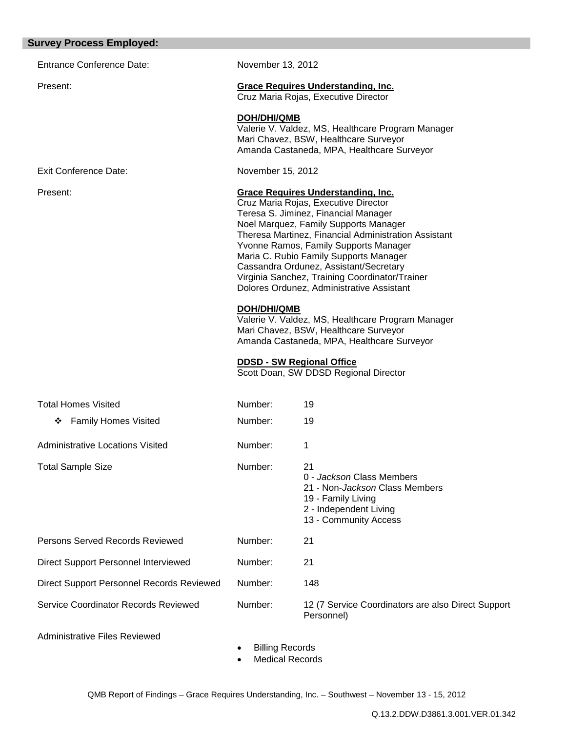## **Survey Process Employed:**

| <b>Entrance Conference Date:</b>                 | November 13, 2012                                                                                                                                                                                                                                                                                                                                                                                                                                                                                                                                                                                                                                                                                     |                                                                                                                                            |  |
|--------------------------------------------------|-------------------------------------------------------------------------------------------------------------------------------------------------------------------------------------------------------------------------------------------------------------------------------------------------------------------------------------------------------------------------------------------------------------------------------------------------------------------------------------------------------------------------------------------------------------------------------------------------------------------------------------------------------------------------------------------------------|--------------------------------------------------------------------------------------------------------------------------------------------|--|
| Present:                                         | <b>Grace Requires Understanding, Inc.</b><br>Cruz Maria Rojas, Executive Director                                                                                                                                                                                                                                                                                                                                                                                                                                                                                                                                                                                                                     |                                                                                                                                            |  |
|                                                  | <b>DOH/DHI/QMB</b>                                                                                                                                                                                                                                                                                                                                                                                                                                                                                                                                                                                                                                                                                    | Valerie V. Valdez, MS, Healthcare Program Manager<br>Mari Chavez, BSW, Healthcare Surveyor<br>Amanda Castaneda, MPA, Healthcare Surveyor   |  |
| <b>Exit Conference Date:</b>                     | November 15, 2012                                                                                                                                                                                                                                                                                                                                                                                                                                                                                                                                                                                                                                                                                     |                                                                                                                                            |  |
| Present:                                         | <b>Grace Requires Understanding, Inc.</b><br>Cruz Maria Rojas, Executive Director<br>Teresa S. Jiminez, Financial Manager<br>Noel Marquez, Family Supports Manager<br>Theresa Martinez, Financial Administration Assistant<br>Yvonne Ramos, Family Supports Manager<br>Maria C. Rubio Family Supports Manager<br>Cassandra Ordunez, Assistant/Secretary<br>Virginia Sanchez, Training Coordinator/Trainer<br>Dolores Ordunez, Administrative Assistant<br><b>DOH/DHI/QMB</b><br>Valerie V. Valdez, MS, Healthcare Program Manager<br>Mari Chavez, BSW, Healthcare Surveyor<br>Amanda Castaneda, MPA, Healthcare Surveyor<br><b>DDSD - SW Regional Office</b><br>Scott Doan, SW DDSD Regional Director |                                                                                                                                            |  |
| <b>Total Homes Visited</b>                       | Number:                                                                                                                                                                                                                                                                                                                                                                                                                                                                                                                                                                                                                                                                                               | 19                                                                                                                                         |  |
| ❖ Family Homes Visited                           | Number:                                                                                                                                                                                                                                                                                                                                                                                                                                                                                                                                                                                                                                                                                               | 19                                                                                                                                         |  |
| <b>Administrative Locations Visited</b>          | Number:                                                                                                                                                                                                                                                                                                                                                                                                                                                                                                                                                                                                                                                                                               | 1                                                                                                                                          |  |
| <b>Total Sample Size</b>                         | Number:                                                                                                                                                                                                                                                                                                                                                                                                                                                                                                                                                                                                                                                                                               | 21<br>0 - Jackson Class Members<br>21 - Non-Jackson Class Members<br>19 - Family Living<br>2 - Independent Living<br>13 - Community Access |  |
| <b>Persons Served Records Reviewed</b>           | Number:                                                                                                                                                                                                                                                                                                                                                                                                                                                                                                                                                                                                                                                                                               | 21                                                                                                                                         |  |
| Direct Support Personnel Interviewed             | Number:                                                                                                                                                                                                                                                                                                                                                                                                                                                                                                                                                                                                                                                                                               | 21                                                                                                                                         |  |
| <b>Direct Support Personnel Records Reviewed</b> | Number:                                                                                                                                                                                                                                                                                                                                                                                                                                                                                                                                                                                                                                                                                               | 148                                                                                                                                        |  |
| Service Coordinator Records Reviewed             | Number:                                                                                                                                                                                                                                                                                                                                                                                                                                                                                                                                                                                                                                                                                               | 12 (7 Service Coordinators are also Direct Support<br>Personnel)                                                                           |  |

Administrative Files Reviewed

- Billing Records
- Medical Records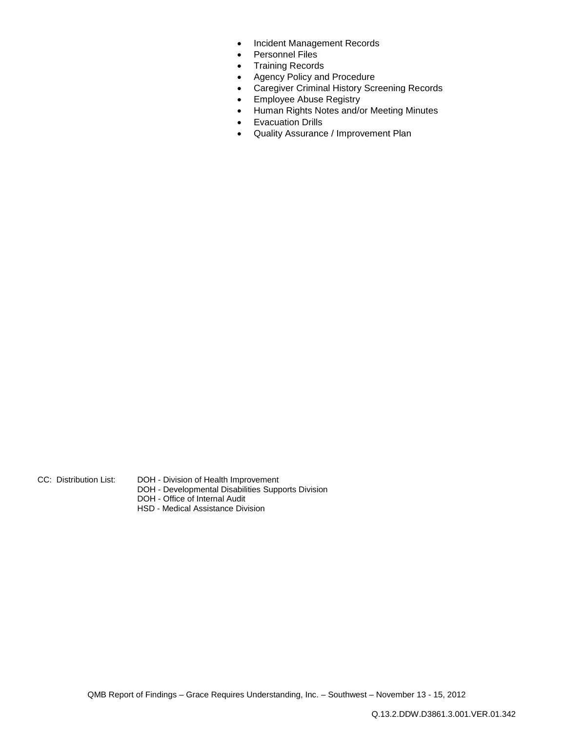- Incident Management Records
- Personnel Files
- Training Records
- Agency Policy and Procedure
- Caregiver Criminal History Screening Records
- Employee Abuse Registry
- Human Rights Notes and/or Meeting Minutes
- **•** Evacuation Drills
- Quality Assurance / Improvement Plan

- CC: Distribution List: DOH Division of Health Improvement
	- DOH Developmental Disabilities Supports Division
	- DOH Office of Internal Audit
	- HSD Medical Assistance Division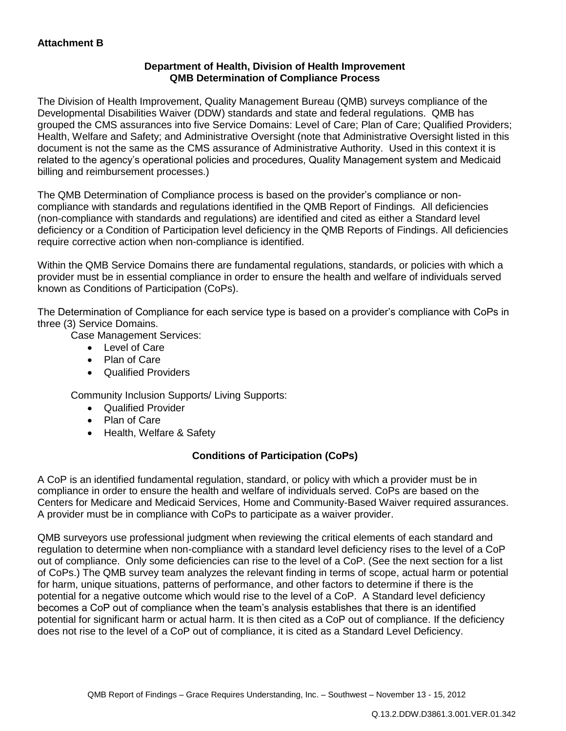## **Department of Health, Division of Health Improvement QMB Determination of Compliance Process**

The Division of Health Improvement, Quality Management Bureau (QMB) surveys compliance of the Developmental Disabilities Waiver (DDW) standards and state and federal regulations. QMB has grouped the CMS assurances into five Service Domains: Level of Care; Plan of Care; Qualified Providers; Health, Welfare and Safety; and Administrative Oversight (note that Administrative Oversight listed in this document is not the same as the CMS assurance of Administrative Authority. Used in this context it is related to the agency's operational policies and procedures, Quality Management system and Medicaid billing and reimbursement processes.)

The QMB Determination of Compliance process is based on the provider's compliance or noncompliance with standards and regulations identified in the QMB Report of Findings. All deficiencies (non-compliance with standards and regulations) are identified and cited as either a Standard level deficiency or a Condition of Participation level deficiency in the QMB Reports of Findings. All deficiencies require corrective action when non-compliance is identified.

Within the QMB Service Domains there are fundamental regulations, standards, or policies with which a provider must be in essential compliance in order to ensure the health and welfare of individuals served known as Conditions of Participation (CoPs).

The Determination of Compliance for each service type is based on a provider's compliance with CoPs in three (3) Service Domains.

Case Management Services:

- Level of Care
- Plan of Care
- Qualified Providers

Community Inclusion Supports/ Living Supports:

- Qualified Provider
- Plan of Care
- Health, Welfare & Safety

# **Conditions of Participation (CoPs)**

A CoP is an identified fundamental regulation, standard, or policy with which a provider must be in compliance in order to ensure the health and welfare of individuals served. CoPs are based on the Centers for Medicare and Medicaid Services, Home and Community-Based Waiver required assurances. A provider must be in compliance with CoPs to participate as a waiver provider.

QMB surveyors use professional judgment when reviewing the critical elements of each standard and regulation to determine when non-compliance with a standard level deficiency rises to the level of a CoP out of compliance. Only some deficiencies can rise to the level of a CoP. (See the next section for a list of CoPs.) The QMB survey team analyzes the relevant finding in terms of scope, actual harm or potential for harm, unique situations, patterns of performance, and other factors to determine if there is the potential for a negative outcome which would rise to the level of a CoP. A Standard level deficiency becomes a CoP out of compliance when the team's analysis establishes that there is an identified potential for significant harm or actual harm. It is then cited as a CoP out of compliance. If the deficiency does not rise to the level of a CoP out of compliance, it is cited as a Standard Level Deficiency.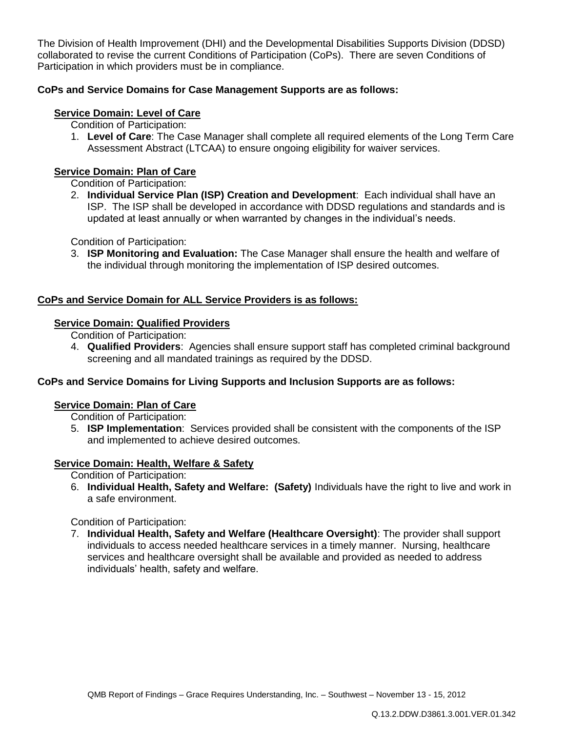The Division of Health Improvement (DHI) and the Developmental Disabilities Supports Division (DDSD) collaborated to revise the current Conditions of Participation (CoPs). There are seven Conditions of Participation in which providers must be in compliance.

## **CoPs and Service Domains for Case Management Supports are as follows:**

## **Service Domain: Level of Care**

Condition of Participation:

1. **Level of Care**: The Case Manager shall complete all required elements of the Long Term Care Assessment Abstract (LTCAA) to ensure ongoing eligibility for waiver services.

## **Service Domain: Plan of Care**

Condition of Participation:

2. **Individual Service Plan (ISP) Creation and Development**: Each individual shall have an ISP. The ISP shall be developed in accordance with DDSD regulations and standards and is updated at least annually or when warranted by changes in the individual's needs.

Condition of Participation:

3. **ISP Monitoring and Evaluation:** The Case Manager shall ensure the health and welfare of the individual through monitoring the implementation of ISP desired outcomes.

## **CoPs and Service Domain for ALL Service Providers is as follows:**

#### **Service Domain: Qualified Providers**

Condition of Participation:

4. **Qualified Providers**: Agencies shall ensure support staff has completed criminal background screening and all mandated trainings as required by the DDSD.

#### **CoPs and Service Domains for Living Supports and Inclusion Supports are as follows:**

#### **Service Domain: Plan of Care**

Condition of Participation:

5. **ISP Implementation**: Services provided shall be consistent with the components of the ISP and implemented to achieve desired outcomes.

#### **Service Domain: Health, Welfare & Safety**

Condition of Participation:

6. **Individual Health, Safety and Welfare: (Safety)** Individuals have the right to live and work in a safe environment.

Condition of Participation:

7. **Individual Health, Safety and Welfare (Healthcare Oversight)**: The provider shall support individuals to access needed healthcare services in a timely manner. Nursing, healthcare services and healthcare oversight shall be available and provided as needed to address individuals' health, safety and welfare.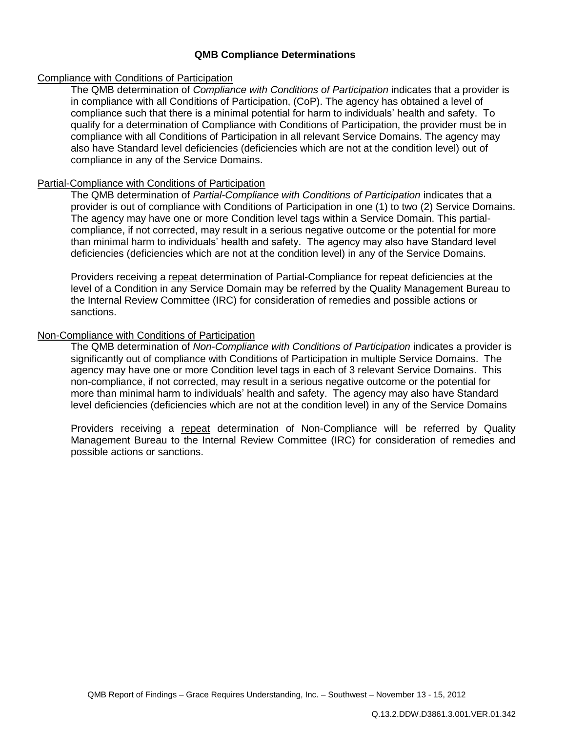## **QMB Compliance Determinations**

#### Compliance with Conditions of Participation

The QMB determination of *Compliance with Conditions of Participation* indicates that a provider is in compliance with all Conditions of Participation, (CoP). The agency has obtained a level of compliance such that there is a minimal potential for harm to individuals' health and safety. To qualify for a determination of Compliance with Conditions of Participation, the provider must be in compliance with all Conditions of Participation in all relevant Service Domains. The agency may also have Standard level deficiencies (deficiencies which are not at the condition level) out of compliance in any of the Service Domains.

### Partial-Compliance with Conditions of Participation

The QMB determination of *Partial-Compliance with Conditions of Participation* indicates that a provider is out of compliance with Conditions of Participation in one (1) to two (2) Service Domains. The agency may have one or more Condition level tags within a Service Domain. This partialcompliance, if not corrected, may result in a serious negative outcome or the potential for more than minimal harm to individuals' health and safety. The agency may also have Standard level deficiencies (deficiencies which are not at the condition level) in any of the Service Domains.

Providers receiving a repeat determination of Partial-Compliance for repeat deficiencies at the level of a Condition in any Service Domain may be referred by the Quality Management Bureau to the Internal Review Committee (IRC) for consideration of remedies and possible actions or sanctions.

## Non-Compliance with Conditions of Participation

The QMB determination of *Non-Compliance with Conditions of Participation* indicates a provider is significantly out of compliance with Conditions of Participation in multiple Service Domains. The agency may have one or more Condition level tags in each of 3 relevant Service Domains. This non-compliance, if not corrected, may result in a serious negative outcome or the potential for more than minimal harm to individuals' health and safety. The agency may also have Standard level deficiencies (deficiencies which are not at the condition level) in any of the Service Domains

Providers receiving a repeat determination of Non-Compliance will be referred by Quality Management Bureau to the Internal Review Committee (IRC) for consideration of remedies and possible actions or sanctions.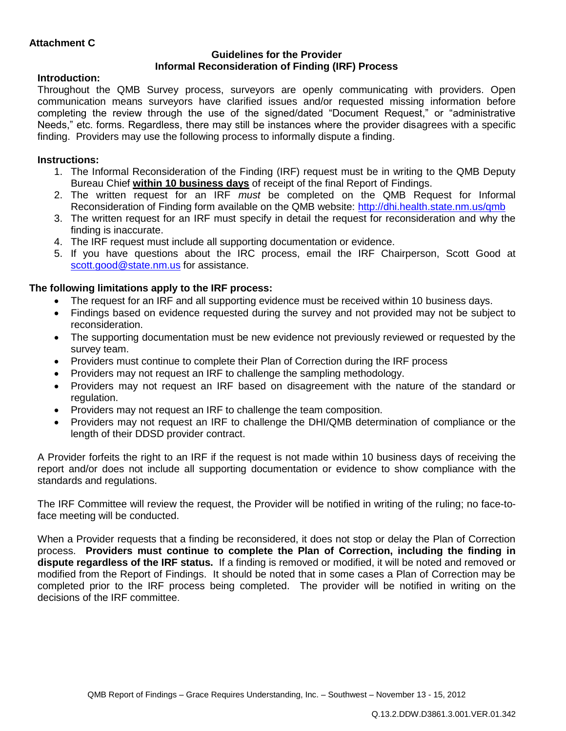## **Guidelines for the Provider Informal Reconsideration of Finding (IRF) Process**

## **Introduction:**

Throughout the QMB Survey process, surveyors are openly communicating with providers. Open communication means surveyors have clarified issues and/or requested missing information before completing the review through the use of the signed/dated "Document Request," or "administrative Needs," etc. forms. Regardless, there may still be instances where the provider disagrees with a specific finding. Providers may use the following process to informally dispute a finding.

# **Instructions:**

- 1. The Informal Reconsideration of the Finding (IRF) request must be in writing to the QMB Deputy Bureau Chief **within 10 business days** of receipt of the final Report of Findings.
- 2. The written request for an IRF *must* be completed on the QMB Request for Informal Reconsideration of Finding form available on the QMB website:<http://dhi.health.state.nm.us/qmb>
- 3. The written request for an IRF must specify in detail the request for reconsideration and why the finding is inaccurate.
- 4. The IRF request must include all supporting documentation or evidence.
- 5. If you have questions about the IRC process, email the IRF Chairperson, Scott Good at [scott.good@state.nm.us](mailto:scott.good@state.nm.us) for assistance.

## **The following limitations apply to the IRF process:**

- The request for an IRF and all supporting evidence must be received within 10 business days.
- Findings based on evidence requested during the survey and not provided may not be subject to reconsideration.
- The supporting documentation must be new evidence not previously reviewed or requested by the survey team.
- Providers must continue to complete their Plan of Correction during the IRF process
- Providers may not request an IRF to challenge the sampling methodology.
- Providers may not request an IRF based on disagreement with the nature of the standard or regulation.
- Providers may not request an IRF to challenge the team composition.
- Providers may not request an IRF to challenge the DHI/QMB determination of compliance or the length of their DDSD provider contract.

A Provider forfeits the right to an IRF if the request is not made within 10 business days of receiving the report and/or does not include all supporting documentation or evidence to show compliance with the standards and regulations.

The IRF Committee will review the request, the Provider will be notified in writing of the ruling; no face-toface meeting will be conducted.

When a Provider requests that a finding be reconsidered, it does not stop or delay the Plan of Correction process. **Providers must continue to complete the Plan of Correction, including the finding in dispute regardless of the IRF status.** If a finding is removed or modified, it will be noted and removed or modified from the Report of Findings. It should be noted that in some cases a Plan of Correction may be completed prior to the IRF process being completed. The provider will be notified in writing on the decisions of the IRF committee.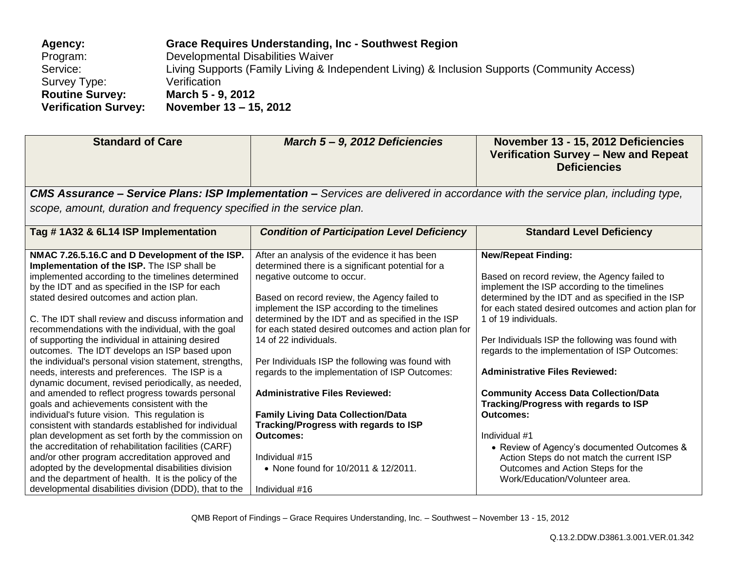| Agency:                     | Grace Requires Understanding, Inc - Southwest Region                                         |
|-----------------------------|----------------------------------------------------------------------------------------------|
| Program:                    | Developmental Disabilities Waiver                                                            |
| Service:                    | Living Supports (Family Living & Independent Living) & Inclusion Supports (Community Access) |
| Survey Type:                | Verification                                                                                 |
| <b>Routine Survey:</b>      | March 5 - 9, 2012                                                                            |
| <b>Verification Survey:</b> | November 13 – 15, 2012                                                                       |

| <b>Standard of Care</b>                                                                                                                                                                                                                                                                                                                                                                                                                                                                                                                                                                                                                                                                                                                                                                                                                                                                                                                                                                                                                                                                                                                                                                      | March 5-9, 2012 Deficiencies                                                                                                                                                                                                                                                                                                                                                                                                                                                                                                                                                                                                                                                                               | November 13 - 15, 2012 Deficiencies<br>Verification Survey - New and Repeat<br><b>Deficiencies</b>                                                                                                                                                                                                                                                                                                                                                                                                                                                                                                                                                                                                             |
|----------------------------------------------------------------------------------------------------------------------------------------------------------------------------------------------------------------------------------------------------------------------------------------------------------------------------------------------------------------------------------------------------------------------------------------------------------------------------------------------------------------------------------------------------------------------------------------------------------------------------------------------------------------------------------------------------------------------------------------------------------------------------------------------------------------------------------------------------------------------------------------------------------------------------------------------------------------------------------------------------------------------------------------------------------------------------------------------------------------------------------------------------------------------------------------------|------------------------------------------------------------------------------------------------------------------------------------------------------------------------------------------------------------------------------------------------------------------------------------------------------------------------------------------------------------------------------------------------------------------------------------------------------------------------------------------------------------------------------------------------------------------------------------------------------------------------------------------------------------------------------------------------------------|----------------------------------------------------------------------------------------------------------------------------------------------------------------------------------------------------------------------------------------------------------------------------------------------------------------------------------------------------------------------------------------------------------------------------------------------------------------------------------------------------------------------------------------------------------------------------------------------------------------------------------------------------------------------------------------------------------------|
|                                                                                                                                                                                                                                                                                                                                                                                                                                                                                                                                                                                                                                                                                                                                                                                                                                                                                                                                                                                                                                                                                                                                                                                              | <b>CMS Assurance – Service Plans: ISP Implementation –</b> Services are delivered in accordance with the service plan, including type,                                                                                                                                                                                                                                                                                                                                                                                                                                                                                                                                                                     |                                                                                                                                                                                                                                                                                                                                                                                                                                                                                                                                                                                                                                                                                                                |
| scope, amount, duration and frequency specified in the service plan.                                                                                                                                                                                                                                                                                                                                                                                                                                                                                                                                                                                                                                                                                                                                                                                                                                                                                                                                                                                                                                                                                                                         |                                                                                                                                                                                                                                                                                                                                                                                                                                                                                                                                                                                                                                                                                                            |                                                                                                                                                                                                                                                                                                                                                                                                                                                                                                                                                                                                                                                                                                                |
| Tag #1A32 & 6L14 ISP Implementation                                                                                                                                                                                                                                                                                                                                                                                                                                                                                                                                                                                                                                                                                                                                                                                                                                                                                                                                                                                                                                                                                                                                                          | <b>Condition of Participation Level Deficiency</b>                                                                                                                                                                                                                                                                                                                                                                                                                                                                                                                                                                                                                                                         | <b>Standard Level Deficiency</b>                                                                                                                                                                                                                                                                                                                                                                                                                                                                                                                                                                                                                                                                               |
| NMAC 7.26.5.16.C and D Development of the ISP.<br>Implementation of the ISP. The ISP shall be<br>implemented according to the timelines determined<br>by the IDT and as specified in the ISP for each<br>stated desired outcomes and action plan.<br>C. The IDT shall review and discuss information and<br>recommendations with the individual, with the goal<br>of supporting the individual in attaining desired<br>outcomes. The IDT develops an ISP based upon<br>the individual's personal vision statement, strengths,<br>needs, interests and preferences. The ISP is a<br>dynamic document, revised periodically, as needed,<br>and amended to reflect progress towards personal<br>goals and achievements consistent with the<br>individual's future vision. This regulation is<br>consistent with standards established for individual<br>plan development as set forth by the commission on<br>the accreditation of rehabilitation facilities (CARF)<br>and/or other program accreditation approved and<br>adopted by the developmental disabilities division<br>and the department of health. It is the policy of the<br>developmental disabilities division (DDD), that to the | After an analysis of the evidence it has been<br>determined there is a significant potential for a<br>negative outcome to occur.<br>Based on record review, the Agency failed to<br>implement the ISP according to the timelines<br>determined by the IDT and as specified in the ISP<br>for each stated desired outcomes and action plan for<br>14 of 22 individuals.<br>Per Individuals ISP the following was found with<br>regards to the implementation of ISP Outcomes:<br><b>Administrative Files Reviewed:</b><br><b>Family Living Data Collection/Data</b><br>Tracking/Progress with regards to ISP<br><b>Outcomes:</b><br>Individual #15<br>• None found for 10/2011 & 12/2011.<br>Individual #16 | <b>New/Repeat Finding:</b><br>Based on record review, the Agency failed to<br>implement the ISP according to the timelines<br>determined by the IDT and as specified in the ISP<br>for each stated desired outcomes and action plan for<br>1 of 19 individuals.<br>Per Individuals ISP the following was found with<br>regards to the implementation of ISP Outcomes:<br><b>Administrative Files Reviewed:</b><br><b>Community Access Data Collection/Data</b><br>Tracking/Progress with regards to ISP<br><b>Outcomes:</b><br>Individual #1<br>• Review of Agency's documented Outcomes &<br>Action Steps do not match the current ISP<br>Outcomes and Action Steps for the<br>Work/Education/Volunteer area. |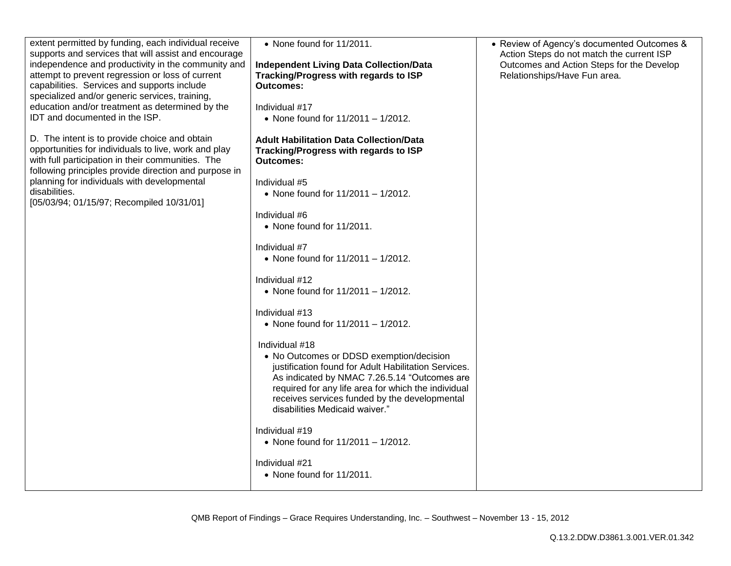| extent permitted by funding, each individual receive<br>supports and services that will assist and encourage<br>independence and productivity in the community and<br>attempt to prevent regression or loss of current<br>capabilities. Services and supports include<br>specialized and/or generic services, training,<br>education and/or treatment as determined by the<br>IDT and documented in the ISP.<br>D. The intent is to provide choice and obtain<br>opportunities for individuals to live, work and play<br>with full participation in their communities. The<br>following principles provide direction and purpose in<br>planning for individuals with developmental<br>disabilities.<br>[05/03/94; 01/15/97; Recompiled 10/31/01] | • None found for 11/2011.<br><b>Independent Living Data Collection/Data</b><br>Tracking/Progress with regards to ISP<br><b>Outcomes:</b><br>Individual #17<br>• None found for 11/2011 - 1/2012.<br><b>Adult Habilitation Data Collection/Data</b><br>Tracking/Progress with regards to ISP<br><b>Outcomes:</b><br>Individual #5<br>• None found for 11/2011 - 1/2012.<br>Individual #6<br>• None found for 11/2011.<br>Individual #7<br>• None found for $11/2011 - 1/2012$ .<br>Individual #12<br>• None found for $11/2011 - 1/2012$ .<br>Individual #13<br>• None found for 11/2011 - 1/2012.<br>Individual #18<br>• No Outcomes or DDSD exemption/decision<br>justification found for Adult Habilitation Services.<br>As indicated by NMAC 7.26.5.14 "Outcomes are | • Review of Agency's documented Outcomes &<br>Action Steps do not match the current ISP<br>Outcomes and Action Steps for the Develop<br>Relationships/Have Fun area. |
|--------------------------------------------------------------------------------------------------------------------------------------------------------------------------------------------------------------------------------------------------------------------------------------------------------------------------------------------------------------------------------------------------------------------------------------------------------------------------------------------------------------------------------------------------------------------------------------------------------------------------------------------------------------------------------------------------------------------------------------------------|-------------------------------------------------------------------------------------------------------------------------------------------------------------------------------------------------------------------------------------------------------------------------------------------------------------------------------------------------------------------------------------------------------------------------------------------------------------------------------------------------------------------------------------------------------------------------------------------------------------------------------------------------------------------------------------------------------------------------------------------------------------------------|----------------------------------------------------------------------------------------------------------------------------------------------------------------------|
|                                                                                                                                                                                                                                                                                                                                                                                                                                                                                                                                                                                                                                                                                                                                                  | required for any life area for which the individual<br>receives services funded by the developmental<br>disabilities Medicaid waiver."                                                                                                                                                                                                                                                                                                                                                                                                                                                                                                                                                                                                                                  |                                                                                                                                                                      |
|                                                                                                                                                                                                                                                                                                                                                                                                                                                                                                                                                                                                                                                                                                                                                  | Individual #19<br>• None found for 11/2011 - 1/2012.                                                                                                                                                                                                                                                                                                                                                                                                                                                                                                                                                                                                                                                                                                                    |                                                                                                                                                                      |
|                                                                                                                                                                                                                                                                                                                                                                                                                                                                                                                                                                                                                                                                                                                                                  | Individual #21<br>• None found for $11/2011$ .                                                                                                                                                                                                                                                                                                                                                                                                                                                                                                                                                                                                                                                                                                                          |                                                                                                                                                                      |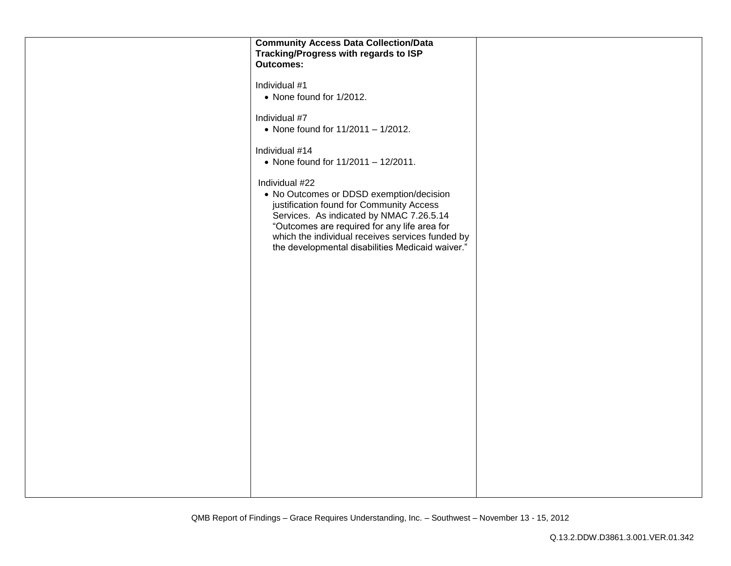| <b>Community Access Data Collection/Data</b><br>Tracking/Progress with regards to ISP<br><b>Outcomes:</b>                                                                                                                                                                                                  |  |
|------------------------------------------------------------------------------------------------------------------------------------------------------------------------------------------------------------------------------------------------------------------------------------------------------------|--|
| Individual #1<br>• None found for 1/2012.                                                                                                                                                                                                                                                                  |  |
| Individual #7<br>• None found for 11/2011 - 1/2012.                                                                                                                                                                                                                                                        |  |
| Individual #14<br>• None found for $11/2011 - 12/2011$ .                                                                                                                                                                                                                                                   |  |
| Individual #22<br>• No Outcomes or DDSD exemption/decision<br>justification found for Community Access<br>Services. As indicated by NMAC 7.26.5.14<br>"Outcomes are required for any life area for<br>which the individual receives services funded by<br>the developmental disabilities Medicaid waiver." |  |
|                                                                                                                                                                                                                                                                                                            |  |
|                                                                                                                                                                                                                                                                                                            |  |
|                                                                                                                                                                                                                                                                                                            |  |
|                                                                                                                                                                                                                                                                                                            |  |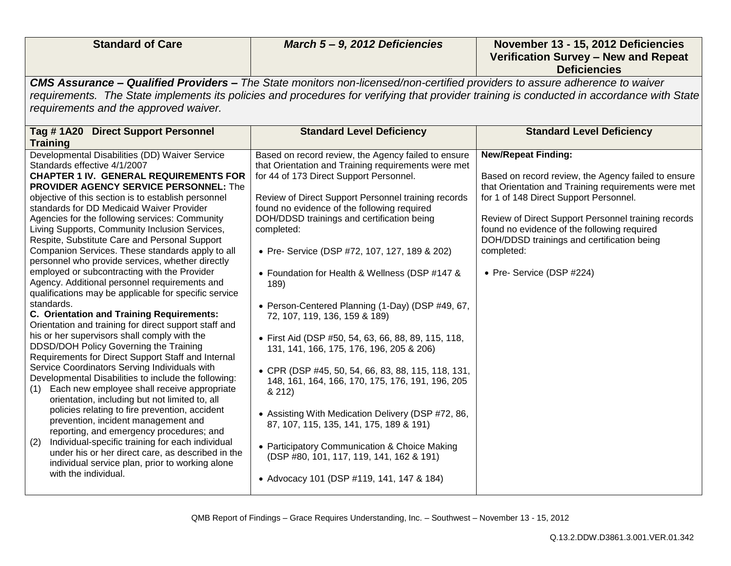| <b>Standard of Care</b>                                                                                                                                                                                                                                                                                                                                                                                                                                                                                                                                                                                                                                                                                                                                                                                                                                                                                                                                                                                                                                                                                                                                                                                                                                                                                                                                                                                                                                                                                                          | March 5-9, 2012 Deficiencies                                                                                                                                                                                                                                                                                                                                                                                                                                                                                                                                                                                                                                                                                                                                                                                                                                                                                                                                                              | November 13 - 15, 2012 Deficiencies<br>Verification Survey - New and Repeat<br><b>Deficiencies</b>                                                                                                                                                                                                                                                                                |
|----------------------------------------------------------------------------------------------------------------------------------------------------------------------------------------------------------------------------------------------------------------------------------------------------------------------------------------------------------------------------------------------------------------------------------------------------------------------------------------------------------------------------------------------------------------------------------------------------------------------------------------------------------------------------------------------------------------------------------------------------------------------------------------------------------------------------------------------------------------------------------------------------------------------------------------------------------------------------------------------------------------------------------------------------------------------------------------------------------------------------------------------------------------------------------------------------------------------------------------------------------------------------------------------------------------------------------------------------------------------------------------------------------------------------------------------------------------------------------------------------------------------------------|-------------------------------------------------------------------------------------------------------------------------------------------------------------------------------------------------------------------------------------------------------------------------------------------------------------------------------------------------------------------------------------------------------------------------------------------------------------------------------------------------------------------------------------------------------------------------------------------------------------------------------------------------------------------------------------------------------------------------------------------------------------------------------------------------------------------------------------------------------------------------------------------------------------------------------------------------------------------------------------------|-----------------------------------------------------------------------------------------------------------------------------------------------------------------------------------------------------------------------------------------------------------------------------------------------------------------------------------------------------------------------------------|
|                                                                                                                                                                                                                                                                                                                                                                                                                                                                                                                                                                                                                                                                                                                                                                                                                                                                                                                                                                                                                                                                                                                                                                                                                                                                                                                                                                                                                                                                                                                                  | <b>CMS Assurance – Qualified Providers –</b> The State monitors non-licensed/non-certified providers to assure adherence to waiver                                                                                                                                                                                                                                                                                                                                                                                                                                                                                                                                                                                                                                                                                                                                                                                                                                                        |                                                                                                                                                                                                                                                                                                                                                                                   |
| requirements and the approved waiver.                                                                                                                                                                                                                                                                                                                                                                                                                                                                                                                                                                                                                                                                                                                                                                                                                                                                                                                                                                                                                                                                                                                                                                                                                                                                                                                                                                                                                                                                                            |                                                                                                                                                                                                                                                                                                                                                                                                                                                                                                                                                                                                                                                                                                                                                                                                                                                                                                                                                                                           | requirements. The State implements its policies and procedures for verifying that provider training is conducted in accordance with State                                                                                                                                                                                                                                         |
| Tag #1A20 Direct Support Personnel<br><b>Training</b>                                                                                                                                                                                                                                                                                                                                                                                                                                                                                                                                                                                                                                                                                                                                                                                                                                                                                                                                                                                                                                                                                                                                                                                                                                                                                                                                                                                                                                                                            | <b>Standard Level Deficiency</b>                                                                                                                                                                                                                                                                                                                                                                                                                                                                                                                                                                                                                                                                                                                                                                                                                                                                                                                                                          | <b>Standard Level Deficiency</b>                                                                                                                                                                                                                                                                                                                                                  |
| Developmental Disabilities (DD) Waiver Service<br>Standards effective 4/1/2007<br><b>CHAPTER 1 IV. GENERAL REQUIREMENTS FOR</b><br><b>PROVIDER AGENCY SERVICE PERSONNEL: The</b><br>objective of this section is to establish personnel<br>standards for DD Medicaid Waiver Provider<br>Agencies for the following services: Community<br>Living Supports, Community Inclusion Services,<br>Respite, Substitute Care and Personal Support<br>Companion Services. These standards apply to all<br>personnel who provide services, whether directly<br>employed or subcontracting with the Provider<br>Agency. Additional personnel requirements and<br>qualifications may be applicable for specific service<br>standards.<br>C. Orientation and Training Requirements:<br>Orientation and training for direct support staff and<br>his or her supervisors shall comply with the<br>DDSD/DOH Policy Governing the Training<br>Requirements for Direct Support Staff and Internal<br>Service Coordinators Serving Individuals with<br>Developmental Disabilities to include the following:<br>Each new employee shall receive appropriate<br>(1)<br>orientation, including but not limited to, all<br>policies relating to fire prevention, accident<br>prevention, incident management and<br>reporting, and emergency procedures; and<br>Individual-specific training for each individual<br>(2)<br>under his or her direct care, as described in the<br>individual service plan, prior to working alone<br>with the individual. | Based on record review, the Agency failed to ensure<br>that Orientation and Training requirements were met<br>for 44 of 173 Direct Support Personnel.<br>Review of Direct Support Personnel training records<br>found no evidence of the following required<br>DOH/DDSD trainings and certification being<br>completed:<br>• Pre- Service (DSP #72, 107, 127, 189 & 202)<br>• Foundation for Health & Wellness (DSP #147 &<br>189)<br>• Person-Centered Planning (1-Day) (DSP #49, 67,<br>72, 107, 119, 136, 159 & 189)<br>• First Aid (DSP #50, 54, 63, 66, 88, 89, 115, 118,<br>131, 141, 166, 175, 176, 196, 205 & 206)<br>• CPR (DSP #45, 50, 54, 66, 83, 88, 115, 118, 131,<br>148, 161, 164, 166, 170, 175, 176, 191, 196, 205<br>& 212)<br>• Assisting With Medication Delivery (DSP #72, 86,<br>87, 107, 115, 135, 141, 175, 189 & 191)<br>• Participatory Communication & Choice Making<br>(DSP #80, 101, 117, 119, 141, 162 & 191)<br>• Advocacy 101 (DSP #119, 141, 147 & 184) | <b>New/Repeat Finding:</b><br>Based on record review, the Agency failed to ensure<br>that Orientation and Training requirements were met<br>for 1 of 148 Direct Support Personnel.<br>Review of Direct Support Personnel training records<br>found no evidence of the following required<br>DOH/DDSD trainings and certification being<br>completed:<br>• Pre- Service (DSP #224) |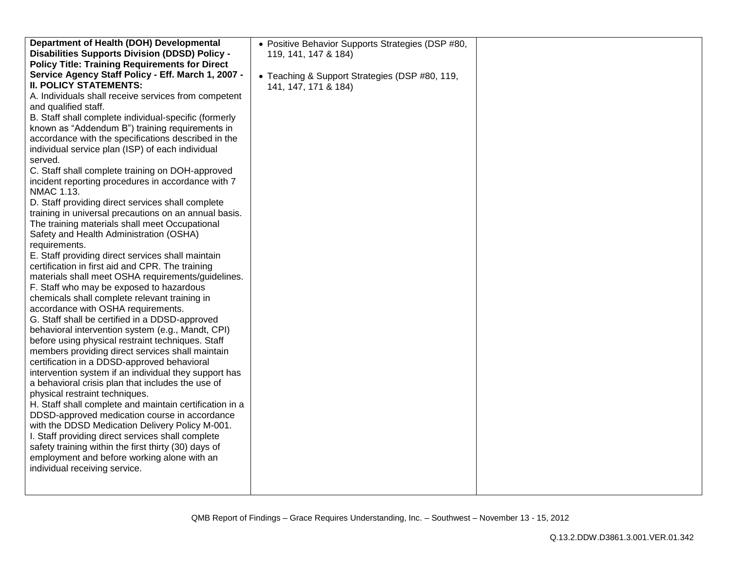| Department of Health (DOH) Developmental                                                       | • Positive Behavior Supports Strategies (DSP #80, |  |
|------------------------------------------------------------------------------------------------|---------------------------------------------------|--|
| <b>Disabilities Supports Division (DDSD) Policy -</b>                                          | 119, 141, 147 & 184)                              |  |
| <b>Policy Title: Training Requirements for Direct</b>                                          |                                                   |  |
| Service Agency Staff Policy - Eff. March 1, 2007 -                                             | • Teaching & Support Strategies (DSP #80, 119,    |  |
| <b>II. POLICY STATEMENTS:</b>                                                                  | 141, 147, 171 & 184)                              |  |
| A. Individuals shall receive services from competent                                           |                                                   |  |
| and qualified staff.                                                                           |                                                   |  |
| B. Staff shall complete individual-specific (formerly                                          |                                                   |  |
| known as "Addendum B") training requirements in                                                |                                                   |  |
| accordance with the specifications described in the                                            |                                                   |  |
| individual service plan (ISP) of each individual                                               |                                                   |  |
| served.                                                                                        |                                                   |  |
| C. Staff shall complete training on DOH-approved                                               |                                                   |  |
| incident reporting procedures in accordance with 7                                             |                                                   |  |
| NMAC 1.13.                                                                                     |                                                   |  |
| D. Staff providing direct services shall complete                                              |                                                   |  |
| training in universal precautions on an annual basis.                                          |                                                   |  |
| The training materials shall meet Occupational                                                 |                                                   |  |
| Safety and Health Administration (OSHA)                                                        |                                                   |  |
| requirements.                                                                                  |                                                   |  |
| E. Staff providing direct services shall maintain                                              |                                                   |  |
| certification in first aid and CPR. The training                                               |                                                   |  |
| materials shall meet OSHA requirements/guidelines.<br>F. Staff who may be exposed to hazardous |                                                   |  |
| chemicals shall complete relevant training in                                                  |                                                   |  |
| accordance with OSHA requirements.                                                             |                                                   |  |
| G. Staff shall be certified in a DDSD-approved                                                 |                                                   |  |
| behavioral intervention system (e.g., Mandt, CPI)                                              |                                                   |  |
| before using physical restraint techniques. Staff                                              |                                                   |  |
| members providing direct services shall maintain                                               |                                                   |  |
| certification in a DDSD-approved behavioral                                                    |                                                   |  |
| intervention system if an individual they support has                                          |                                                   |  |
| a behavioral crisis plan that includes the use of                                              |                                                   |  |
| physical restraint techniques.                                                                 |                                                   |  |
| H. Staff shall complete and maintain certification in a                                        |                                                   |  |
| DDSD-approved medication course in accordance                                                  |                                                   |  |
| with the DDSD Medication Delivery Policy M-001.                                                |                                                   |  |
| I. Staff providing direct services shall complete                                              |                                                   |  |
| safety training within the first thirty (30) days of                                           |                                                   |  |
| employment and before working alone with an                                                    |                                                   |  |
| individual receiving service.                                                                  |                                                   |  |
|                                                                                                |                                                   |  |
|                                                                                                |                                                   |  |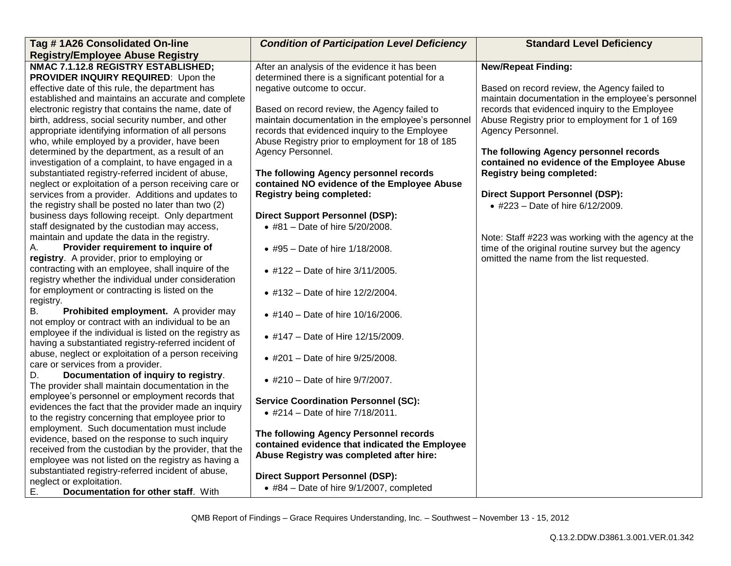| Tag #1A26 Consolidated On-line                                                                    | <b>Condition of Participation Level Deficiency</b> | <b>Standard Level Deficiency</b>                    |
|---------------------------------------------------------------------------------------------------|----------------------------------------------------|-----------------------------------------------------|
| <b>Registry/Employee Abuse Registry</b>                                                           |                                                    |                                                     |
| NMAC 7.1.12.8 REGISTRY ESTABLISHED;                                                               | After an analysis of the evidence it has been      | <b>New/Repeat Finding:</b>                          |
| PROVIDER INQUIRY REQUIRED: Upon the                                                               | determined there is a significant potential for a  |                                                     |
| effective date of this rule, the department has                                                   | negative outcome to occur.                         | Based on record review, the Agency failed to        |
| established and maintains an accurate and complete                                                |                                                    | maintain documentation in the employee's personnel  |
| electronic registry that contains the name, date of                                               | Based on record review, the Agency failed to       | records that evidenced inquiry to the Employee      |
| birth, address, social security number, and other                                                 | maintain documentation in the employee's personnel | Abuse Registry prior to employment for 1 of 169     |
| appropriate identifying information of all persons                                                | records that evidenced inquiry to the Employee     | Agency Personnel.                                   |
| who, while employed by a provider, have been                                                      | Abuse Registry prior to employment for 18 of 185   |                                                     |
| determined by the department, as a result of an                                                   | Agency Personnel.                                  | The following Agency personnel records              |
| investigation of a complaint, to have engaged in a                                                |                                                    | contained no evidence of the Employee Abuse         |
| substantiated registry-referred incident of abuse,                                                | The following Agency personnel records             | <b>Registry being completed:</b>                    |
| neglect or exploitation of a person receiving care or                                             | contained NO evidence of the Employee Abuse        |                                                     |
| services from a provider. Additions and updates to                                                | <b>Registry being completed:</b>                   | <b>Direct Support Personnel (DSP):</b>              |
| the registry shall be posted no later than two (2)                                                |                                                    | • #223 - Date of hire 6/12/2009.                    |
| business days following receipt. Only department                                                  | <b>Direct Support Personnel (DSP):</b>             |                                                     |
| staff designated by the custodian may access,                                                     | • #81 - Date of hire 5/20/2008.                    |                                                     |
| maintain and update the data in the registry.                                                     |                                                    | Note: Staff #223 was working with the agency at the |
| Provider requirement to inquire of<br>Α.                                                          | • #95 - Date of hire 1/18/2008.                    | time of the original routine survey but the agency  |
| registry. A provider, prior to employing or<br>contracting with an employee, shall inquire of the |                                                    | omitted the name from the list requested.           |
| registry whether the individual under consideration                                               | • #122 - Date of hire 3/11/2005.                   |                                                     |
| for employment or contracting is listed on the                                                    |                                                    |                                                     |
| registry.                                                                                         | • #132 – Date of hire 12/2/2004.                   |                                                     |
| В.<br>Prohibited employment. A provider may                                                       |                                                    |                                                     |
| not employ or contract with an individual to be an                                                | • #140 - Date of hire 10/16/2006.                  |                                                     |
| employee if the individual is listed on the registry as                                           |                                                    |                                                     |
| having a substantiated registry-referred incident of                                              | • #147 - Date of Hire 12/15/2009.                  |                                                     |
| abuse, neglect or exploitation of a person receiving                                              | • #201 - Date of hire 9/25/2008.                   |                                                     |
| care or services from a provider.                                                                 |                                                    |                                                     |
| Documentation of inquiry to registry.<br>D.                                                       | • #210 - Date of hire 9/7/2007.                    |                                                     |
| The provider shall maintain documentation in the                                                  |                                                    |                                                     |
| employee's personnel or employment records that                                                   | <b>Service Coordination Personnel (SC):</b>        |                                                     |
| evidences the fact that the provider made an inquiry                                              | • #214 - Date of hire 7/18/2011.                   |                                                     |
| to the registry concerning that employee prior to                                                 |                                                    |                                                     |
| employment. Such documentation must include                                                       | The following Agency Personnel records             |                                                     |
| evidence, based on the response to such inquiry                                                   | contained evidence that indicated the Employee     |                                                     |
| received from the custodian by the provider, that the                                             | Abuse Registry was completed after hire:           |                                                     |
| employee was not listed on the registry as having a                                               |                                                    |                                                     |
| substantiated registry-referred incident of abuse,                                                | <b>Direct Support Personnel (DSP):</b>             |                                                     |
| neglect or exploitation.                                                                          | $\bullet$ #84 - Date of hire 9/1/2007, completed   |                                                     |
| Ε.<br>Documentation for other staff. With                                                         |                                                    |                                                     |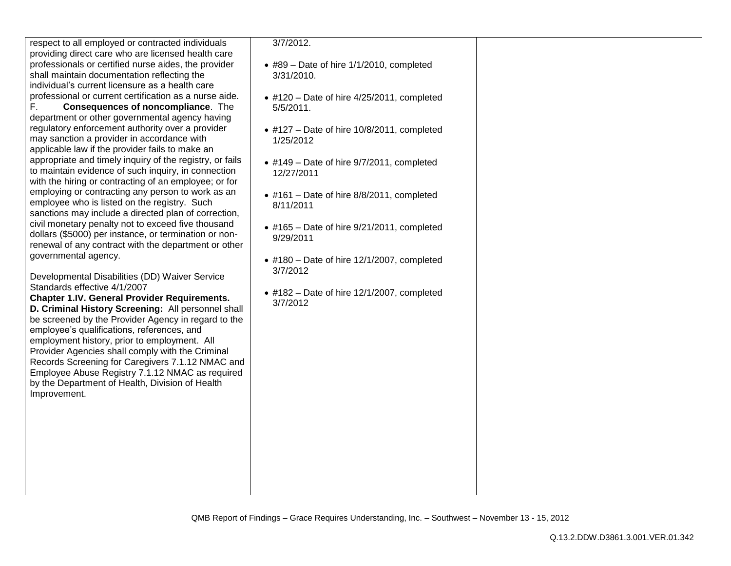| respect to all employed or contracted individuals<br>providing direct care who are licensed health care<br>professionals or certified nurse aides, the provider<br>shall maintain documentation reflecting the<br>individual's current licensure as a health care<br>professional or current certification as a nurse aide.<br>Consequences of noncompliance. The<br>F.<br>department or other governmental agency having<br>regulatory enforcement authority over a provider<br>may sanction a provider in accordance with<br>applicable law if the provider fails to make an<br>appropriate and timely inquiry of the registry, or fails<br>to maintain evidence of such inquiry, in connection<br>with the hiring or contracting of an employee; or for<br>employing or contracting any person to work as an<br>employee who is listed on the registry. Such<br>sanctions may include a directed plan of correction,<br>civil monetary penalty not to exceed five thousand<br>dollars (\$5000) per instance, or termination or non-<br>renewal of any contract with the department or other<br>governmental agency.<br>Developmental Disabilities (DD) Waiver Service<br>Standards effective 4/1/2007<br><b>Chapter 1.IV. General Provider Requirements.</b><br>D. Criminal History Screening: All personnel shall<br>be screened by the Provider Agency in regard to the<br>employee's qualifications, references, and<br>employment history, prior to employment. All<br>Provider Agencies shall comply with the Criminal<br>Records Screening for Caregivers 7.1.12 NMAC and<br>Employee Abuse Registry 7.1.12 NMAC as required<br>by the Department of Health, Division of Health<br>Improvement. | $3/7/2012$ .<br>$\bullet$ #89 - Date of hire 1/1/2010, completed<br>3/31/2010.<br>$\bullet$ #120 - Date of hire 4/25/2011, completed<br>$5/5/2011$ .<br>$\bullet$ #127 – Date of hire 10/8/2011, completed<br>1/25/2012<br>$\bullet$ #149 – Date of hire 9/7/2011, completed<br>12/27/2011<br>$\bullet$ #161 - Date of hire 8/8/2011, completed<br>8/11/2011<br>$\bullet$ #165 - Date of hire 9/21/2011, completed<br>9/29/2011<br>$\bullet$ #180 – Date of hire 12/1/2007, completed<br>3/7/2012<br>$\bullet$ #182 – Date of hire 12/1/2007, completed<br>3/7/2012 |  |
|----------------------------------------------------------------------------------------------------------------------------------------------------------------------------------------------------------------------------------------------------------------------------------------------------------------------------------------------------------------------------------------------------------------------------------------------------------------------------------------------------------------------------------------------------------------------------------------------------------------------------------------------------------------------------------------------------------------------------------------------------------------------------------------------------------------------------------------------------------------------------------------------------------------------------------------------------------------------------------------------------------------------------------------------------------------------------------------------------------------------------------------------------------------------------------------------------------------------------------------------------------------------------------------------------------------------------------------------------------------------------------------------------------------------------------------------------------------------------------------------------------------------------------------------------------------------------------------------------------------------------------------------------------------------------------------------------------|---------------------------------------------------------------------------------------------------------------------------------------------------------------------------------------------------------------------------------------------------------------------------------------------------------------------------------------------------------------------------------------------------------------------------------------------------------------------------------------------------------------------------------------------------------------------|--|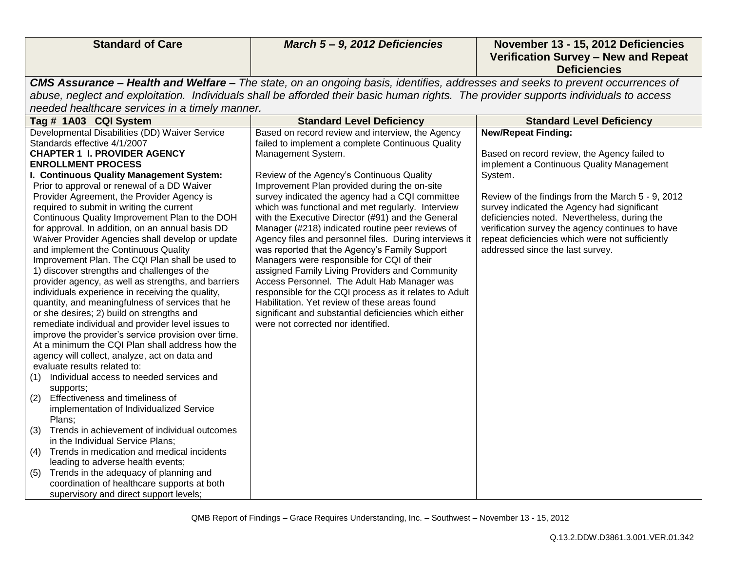| <b>Standard of Care</b>                                                                                                        | March 5-9, 2012 Deficiencies                                                                                                         | November 13 - 15, 2012 Deficiencies<br>Verification Survey - New and Repeat |  |
|--------------------------------------------------------------------------------------------------------------------------------|--------------------------------------------------------------------------------------------------------------------------------------|-----------------------------------------------------------------------------|--|
|                                                                                                                                |                                                                                                                                      | <b>Deficiencies</b>                                                         |  |
| CMS Assurance - Health and Welfare - The state, on an ongoing basis, identifies, addresses and seeks to prevent occurrences of |                                                                                                                                      |                                                                             |  |
|                                                                                                                                | abuse, neglect and exploitation. Individuals shall be afforded their basic human rights. The provider supports individuals to access |                                                                             |  |
| needed healthcare services in a timely manner.                                                                                 |                                                                                                                                      |                                                                             |  |
| Tag # 1A03 CQI System                                                                                                          | <b>Standard Level Deficiency</b>                                                                                                     | <b>Standard Level Deficiency</b>                                            |  |
| Developmental Disabilities (DD) Waiver Service                                                                                 | Based on record review and interview, the Agency                                                                                     | <b>New/Repeat Finding:</b>                                                  |  |
| Standards effective 4/1/2007                                                                                                   | failed to implement a complete Continuous Quality                                                                                    |                                                                             |  |
| <b>CHAPTER 1 I. PROVIDER AGENCY</b>                                                                                            | Management System.                                                                                                                   | Based on record review, the Agency failed to                                |  |
| <b>ENROLLMENT PROCESS</b>                                                                                                      |                                                                                                                                      | implement a Continuous Quality Management                                   |  |
| I. Continuous Quality Management System:                                                                                       | Review of the Agency's Continuous Quality                                                                                            | System.                                                                     |  |
| Prior to approval or renewal of a DD Waiver<br>Provider Agreement, the Provider Agency is                                      | Improvement Plan provided during the on-site<br>survey indicated the agency had a CQI committee                                      | Review of the findings from the March 5 - 9, 2012                           |  |
| required to submit in writing the current                                                                                      | which was functional and met regularly. Interview                                                                                    | survey indicated the Agency had significant                                 |  |
| Continuous Quality Improvement Plan to the DOH                                                                                 | with the Executive Director (#91) and the General                                                                                    | deficiencies noted. Nevertheless, during the                                |  |
| for approval. In addition, on an annual basis DD                                                                               | Manager (#218) indicated routine peer reviews of                                                                                     | verification survey the agency continues to have                            |  |
| Waiver Provider Agencies shall develop or update                                                                               | Agency files and personnel files. During interviews it                                                                               | repeat deficiencies which were not sufficiently                             |  |
| and implement the Continuous Quality                                                                                           | was reported that the Agency's Family Support                                                                                        | addressed since the last survey.                                            |  |
| Improvement Plan. The CQI Plan shall be used to                                                                                | Managers were responsible for CQI of their                                                                                           |                                                                             |  |
| 1) discover strengths and challenges of the                                                                                    | assigned Family Living Providers and Community                                                                                       |                                                                             |  |
| provider agency, as well as strengths, and barriers                                                                            | Access Personnel. The Adult Hab Manager was                                                                                          |                                                                             |  |
| individuals experience in receiving the quality,                                                                               | responsible for the CQI process as it relates to Adult                                                                               |                                                                             |  |
| quantity, and meaningfulness of services that he<br>or she desires; 2) build on strengths and                                  | Habilitation. Yet review of these areas found<br>significant and substantial deficiencies which either                               |                                                                             |  |
| remediate individual and provider level issues to                                                                              | were not corrected nor identified.                                                                                                   |                                                                             |  |
| improve the provider's service provision over time.                                                                            |                                                                                                                                      |                                                                             |  |
| At a minimum the CQI Plan shall address how the                                                                                |                                                                                                                                      |                                                                             |  |
| agency will collect, analyze, act on data and                                                                                  |                                                                                                                                      |                                                                             |  |
| evaluate results related to:                                                                                                   |                                                                                                                                      |                                                                             |  |
| Individual access to needed services and<br>(1)                                                                                |                                                                                                                                      |                                                                             |  |
| supports:                                                                                                                      |                                                                                                                                      |                                                                             |  |
| Effectiveness and timeliness of<br>(2)                                                                                         |                                                                                                                                      |                                                                             |  |
| implementation of Individualized Service                                                                                       |                                                                                                                                      |                                                                             |  |
| Plans;                                                                                                                         |                                                                                                                                      |                                                                             |  |
| Trends in achievement of individual outcomes<br>(3)<br>in the Individual Service Plans;                                        |                                                                                                                                      |                                                                             |  |
| Trends in medication and medical incidents<br>(4)                                                                              |                                                                                                                                      |                                                                             |  |
| leading to adverse health events;                                                                                              |                                                                                                                                      |                                                                             |  |
| Trends in the adequacy of planning and<br>(5)                                                                                  |                                                                                                                                      |                                                                             |  |
| coordination of healthcare supports at both                                                                                    |                                                                                                                                      |                                                                             |  |
| supervisory and direct support levels;                                                                                         |                                                                                                                                      |                                                                             |  |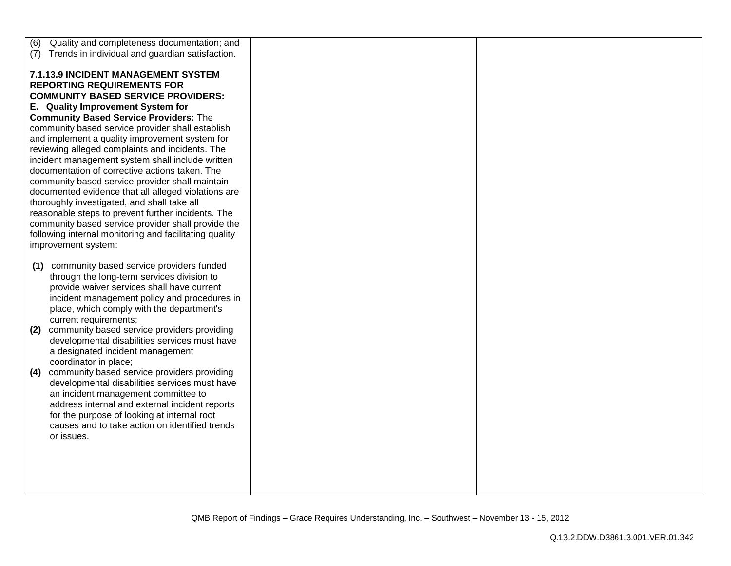| Quality and completeness documentation; and<br>(6)                                                 |  |
|----------------------------------------------------------------------------------------------------|--|
| Trends in individual and guardian satisfaction.<br>(7)                                             |  |
| 7.1.13.9 INCIDENT MANAGEMENT SYSTEM                                                                |  |
| <b>REPORTING REQUIREMENTS FOR</b>                                                                  |  |
| <b>COMMUNITY BASED SERVICE PROVIDERS:</b>                                                          |  |
| E. Quality Improvement System for<br><b>Community Based Service Providers: The</b>                 |  |
| community based service provider shall establish                                                   |  |
| and implement a quality improvement system for                                                     |  |
| reviewing alleged complaints and incidents. The                                                    |  |
| incident management system shall include written<br>documentation of corrective actions taken. The |  |
| community based service provider shall maintain                                                    |  |
| documented evidence that all alleged violations are                                                |  |
| thoroughly investigated, and shall take all<br>reasonable steps to prevent further incidents. The  |  |
| community based service provider shall provide the                                                 |  |
| following internal monitoring and facilitating quality                                             |  |
| improvement system:                                                                                |  |
| community based service providers funded<br>(1)                                                    |  |
| through the long-term services division to                                                         |  |
| provide waiver services shall have current                                                         |  |
| incident management policy and procedures in<br>place, which comply with the department's          |  |
| current requirements;                                                                              |  |
| community based service providers providing<br>(2)                                                 |  |
| developmental disabilities services must have<br>a designated incident management                  |  |
| coordinator in place;                                                                              |  |
| community based service providers providing<br>(4)                                                 |  |
| developmental disabilities services must have                                                      |  |
| an incident management committee to<br>address internal and external incident reports              |  |
| for the purpose of looking at internal root                                                        |  |
| causes and to take action on identified trends                                                     |  |
| or issues.                                                                                         |  |
|                                                                                                    |  |
|                                                                                                    |  |
|                                                                                                    |  |
|                                                                                                    |  |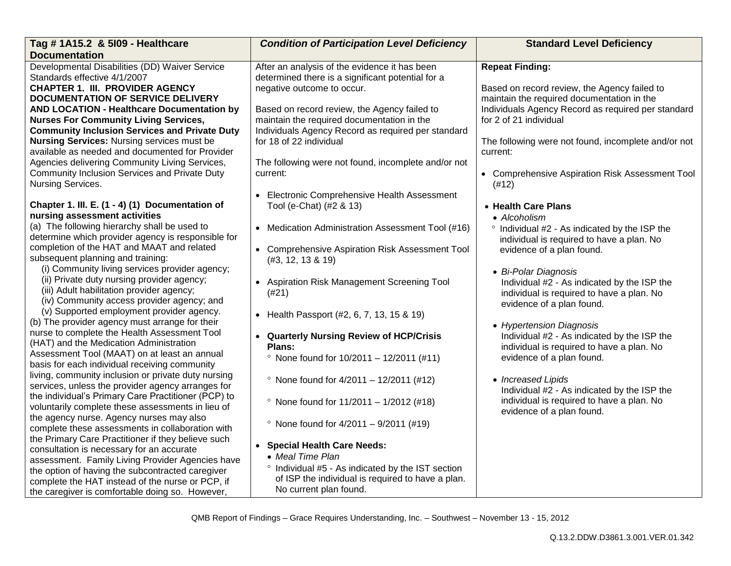| Tag # 1A15.2 & 5109 - Healthcare                                                 | <b>Condition of Participation Level Deficiency</b>  | <b>Standard Level Deficiency</b>                                        |
|----------------------------------------------------------------------------------|-----------------------------------------------------|-------------------------------------------------------------------------|
| <b>Documentation</b>                                                             |                                                     |                                                                         |
| Developmental Disabilities (DD) Waiver Service                                   | After an analysis of the evidence it has been       | <b>Repeat Finding:</b>                                                  |
| Standards effective 4/1/2007                                                     | determined there is a significant potential for a   |                                                                         |
| <b>CHAPTER 1. III. PROVIDER AGENCY</b>                                           | negative outcome to occur.                          | Based on record review, the Agency failed to                            |
| <b>DOCUMENTATION OF SERVICE DELIVERY</b>                                         |                                                     | maintain the required documentation in the                              |
| AND LOCATION - Healthcare Documentation by                                       | Based on record review, the Agency failed to        | Individuals Agency Record as required per standard                      |
| <b>Nurses For Community Living Services,</b>                                     | maintain the required documentation in the          | for 2 of 21 individual                                                  |
| <b>Community Inclusion Services and Private Duty</b>                             | Individuals Agency Record as required per standard  |                                                                         |
| <b>Nursing Services: Nursing services must be</b>                                | for 18 of 22 individual                             | The following were not found, incomplete and/or not                     |
| available as needed and documented for Provider                                  |                                                     | current:                                                                |
| Agencies delivering Community Living Services,                                   | The following were not found, incomplete and/or not |                                                                         |
| Community Inclusion Services and Private Duty                                    | current:                                            | • Comprehensive Aspiration Risk Assessment Tool                         |
| Nursing Services.                                                                |                                                     | (#12)                                                                   |
|                                                                                  | • Electronic Comprehensive Health Assessment        |                                                                         |
| Chapter 1. III. E. (1 - 4) (1) Documentation of<br>nursing assessment activities | Tool (e-Chat) (#2 & 13)                             | • Health Care Plans                                                     |
| (a) The following hierarchy shall be used to                                     |                                                     | • Alcoholism                                                            |
| determine which provider agency is responsible for                               | • Medication Administration Assessment Tool (#16)   | ° Individual #2 - As indicated by the ISP the                           |
| completion of the HAT and MAAT and related                                       |                                                     | individual is required to have a plan. No                               |
| subsequent planning and training:                                                | • Comprehensive Aspiration Risk Assessment Tool     | evidence of a plan found.                                               |
| (i) Community living services provider agency;                                   | (#3, 12, 13 & 19)                                   |                                                                         |
| (ii) Private duty nursing provider agency;                                       |                                                     | • Bi-Polar Diagnosis                                                    |
| (iii) Adult habilitation provider agency;                                        | • Aspiration Risk Management Screening Tool         | Individual #2 - As indicated by the ISP the                             |
| (iv) Community access provider agency; and                                       | (#21)                                               | individual is required to have a plan. No<br>evidence of a plan found.  |
| (v) Supported employment provider agency.                                        | • Health Passport (#2, 6, 7, 13, 15 & 19)           |                                                                         |
| (b) The provider agency must arrange for their                                   |                                                     |                                                                         |
| nurse to complete the Health Assessment Tool                                     | • Quarterly Nursing Review of HCP/Crisis            | • Hypertension Diagnosis<br>Individual #2 - As indicated by the ISP the |
| (HAT) and the Medication Administration                                          | Plans:                                              | individual is required to have a plan. No                               |
| Assessment Tool (MAAT) on at least an annual                                     | • None found for $10/2011 - 12/2011$ (#11)          | evidence of a plan found.                                               |
| basis for each individual receiving community                                    |                                                     |                                                                         |
| living, community inclusion or private duty nursing                              | $^{\circ}$ None found for 4/2011 - 12/2011 (#12)    | • Increased Lipids                                                      |
| services, unless the provider agency arranges for                                |                                                     | Individual #2 - As indicated by the ISP the                             |
| the individual's Primary Care Practitioner (PCP) to                              | • None found for $11/2011 - 1/2012$ (#18)           | individual is required to have a plan. No                               |
| voluntarily complete these assessments in lieu of                                |                                                     | evidence of a plan found.                                               |
| the agency nurse. Agency nurses may also                                         | • None found for $4/2011 - 9/2011$ (#19)            |                                                                         |
| complete these assessments in collaboration with                                 |                                                     |                                                                         |
| the Primary Care Practitioner if they believe such                               | • Special Health Care Needs:                        |                                                                         |
| consultation is necessary for an accurate                                        | • Meal Time Plan                                    |                                                                         |
| assessment. Family Living Provider Agencies have                                 | ° Individual #5 - As indicated by the IST section   |                                                                         |
| the option of having the subcontracted caregiver                                 | of ISP the individual is required to have a plan.   |                                                                         |
| complete the HAT instead of the nurse or PCP, if                                 | No current plan found.                              |                                                                         |
| the caregiver is comfortable doing so. However,                                  |                                                     |                                                                         |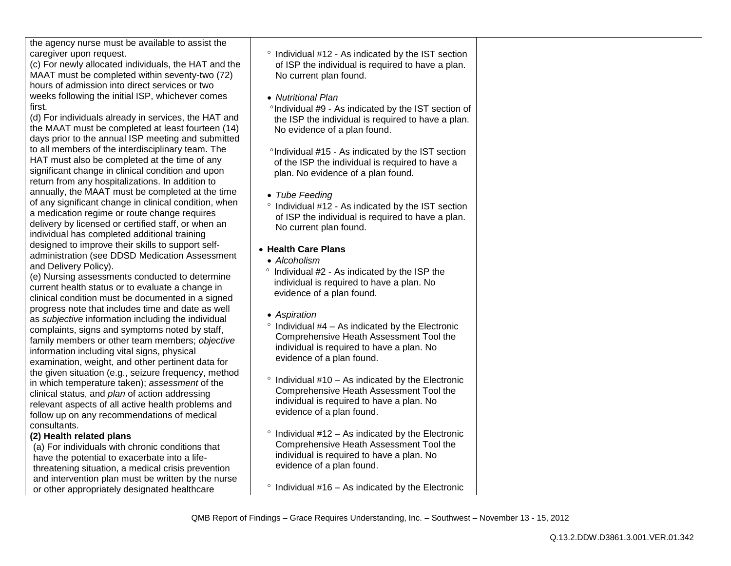the agency nurse must be available to assist the caregiver upon request.

(c) For newly allocated individuals, the HAT and the MAAT must be completed within seventy-two (72) hours of admission into direct services or two weeks following the initial ISP, whichever comes first.

(d) For individuals already in services, the HAT and the MAAT must be completed at least fourteen (14) days prior to the annual ISP meeting and submitted to all members of the interdisciplinary team. The HAT must also be completed at the time of any significant change in clinical condition and upon return from any hospitalizations. In addition to annually, the MAAT must be completed at the time of any significant change in clinical condition, when a medication regime or route change requires delivery by licensed or certified staff, or when an individual has completed additional training designed to improve their skills to support selfadministration (see DDSD Medication Assessment and Delivery Policy).

(e) Nursing assessments conducted to determine current health status or to evaluate a change in clinical condition must be documented in a signed progress note that includes time and date as well as *subjective* information including the individual complaints, signs and symptoms noted by staff, family members or other team members; *objective*  information including vital signs, physical examination, weight, and other pertinent data for the given situation (e.g., seizure frequency, method in which temperature taken); *assessment* of the clinical status, and *plan* of action addressing relevant aspects of all active health problems and follow up on any recommendations of medical consultants.

#### **(2) Health related plans**

(a) For individuals with chronic conditions that have the potential to exacerbate into a lifethreatening situation, a medical crisis prevention and intervention plan must be written by the nurse or other appropriately designated healthcare

- $\degree$  Individual #12 As indicated by the IST section of ISP the individual is required to have a plan. No current plan found.
- *Nutritional Plan*

°Individual #9 - As indicated by the IST section of the ISP the individual is required to have a plan. No evidence of a plan found.

 $\degree$ Individual #15 - As indicated by the IST section of the ISP the individual is required to have a plan. No evidence of a plan found.

- *Tube Feeding*
- $\degree$  Individual #12 As indicated by the IST section of ISP the individual is required to have a plan. No current plan found.

### **Health Care Plans**

- *Alcoholism*
- $\degree$  Individual #2 As indicated by the ISP the individual is required to have a plan. No evidence of a plan found.
- *Aspiration*
- $\degree$  Individual #4 As indicated by the Electronic Comprehensive Heath Assessment Tool the individual is required to have a plan. No evidence of a plan found.
- $\degree$  Individual #10 As indicated by the Electronic Comprehensive Heath Assessment Tool the individual is required to have a plan. No evidence of a plan found.
- $\degree$  Individual #12 As indicated by the Electronic Comprehensive Heath Assessment Tool the individual is required to have a plan. No evidence of a plan found.
- $\degree$  Individual #16 As indicated by the Electronic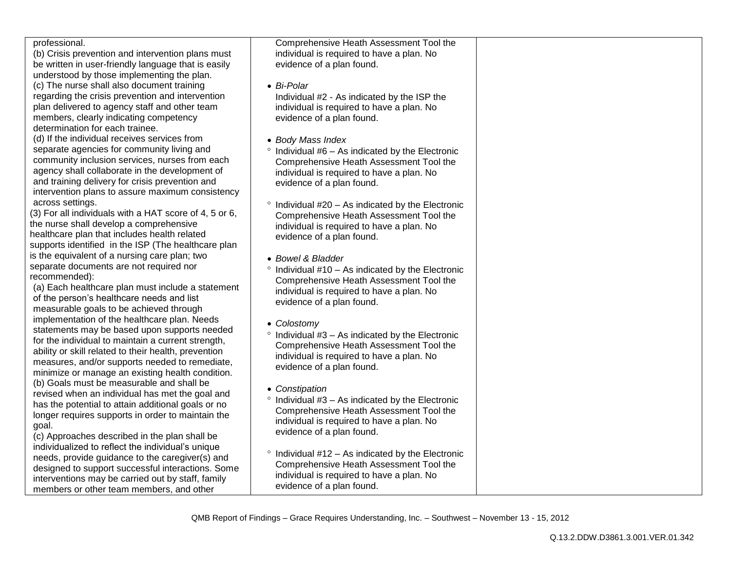| professional.<br>(b) Crisis prevention and intervention plans must<br>be written in user-friendly language that is easily<br>understood by those implementing the plan.<br>(c) The nurse shall also document training<br>regarding the crisis prevention and intervention<br>plan delivered to agency staff and other team<br>members, clearly indicating competency<br>determination for each trainee. | Comprehensive Heath Assessment Tool the<br>individual is required to have a plan. No<br>evidence of a plan found.<br>• Bi-Polar<br>Individual #2 - As indicated by the ISP the<br>individual is required to have a plan. No<br>evidence of a plan found. |  |
|---------------------------------------------------------------------------------------------------------------------------------------------------------------------------------------------------------------------------------------------------------------------------------------------------------------------------------------------------------------------------------------------------------|----------------------------------------------------------------------------------------------------------------------------------------------------------------------------------------------------------------------------------------------------------|--|
| (d) If the individual receives services from<br>separate agencies for community living and<br>community inclusion services, nurses from each<br>agency shall collaborate in the development of<br>and training delivery for crisis prevention and<br>intervention plans to assure maximum consistency                                                                                                   | • Body Mass Index<br>$\degree$ Individual #6 - As indicated by the Electronic<br>Comprehensive Heath Assessment Tool the<br>individual is required to have a plan. No<br>evidence of a plan found.                                                       |  |
| across settings.<br>(3) For all individuals with a HAT score of 4, 5 or 6,<br>the nurse shall develop a comprehensive<br>healthcare plan that includes health related<br>supports identified in the ISP (The healthcare plan                                                                                                                                                                            | $\degree$ Individual #20 – As indicated by the Electronic<br>Comprehensive Heath Assessment Tool the<br>individual is required to have a plan. No<br>evidence of a plan found.                                                                           |  |
| is the equivalent of a nursing care plan; two<br>separate documents are not required nor<br>recommended):<br>(a) Each healthcare plan must include a statement<br>of the person's healthcare needs and list<br>measurable goals to be achieved through                                                                                                                                                  | • Bowel & Bladder<br>$\degree$ Individual #10 – As indicated by the Electronic<br>Comprehensive Heath Assessment Tool the<br>individual is required to have a plan. No<br>evidence of a plan found.                                                      |  |
| implementation of the healthcare plan. Needs<br>statements may be based upon supports needed<br>for the individual to maintain a current strength,<br>ability or skill related to their health, prevention<br>measures, and/or supports needed to remediate,<br>minimize or manage an existing health condition.                                                                                        | • Colostomy<br>$\degree$ Individual #3 - As indicated by the Electronic<br>Comprehensive Heath Assessment Tool the<br>individual is required to have a plan. No<br>evidence of a plan found.                                                             |  |
| (b) Goals must be measurable and shall be<br>revised when an individual has met the goal and<br>has the potential to attain additional goals or no<br>longer requires supports in order to maintain the<br>goal.<br>(c) Approaches described in the plan shall be                                                                                                                                       | • Constipation<br>$\degree$ Individual #3 - As indicated by the Electronic<br>Comprehensive Heath Assessment Tool the<br>individual is required to have a plan. No<br>evidence of a plan found.                                                          |  |
| individualized to reflect the individual's unique<br>needs, provide guidance to the caregiver(s) and<br>designed to support successful interactions. Some<br>interventions may be carried out by staff, family<br>members or other team members, and other                                                                                                                                              | $\degree$ Individual #12 – As indicated by the Electronic<br>Comprehensive Heath Assessment Tool the<br>individual is required to have a plan. No<br>evidence of a plan found.                                                                           |  |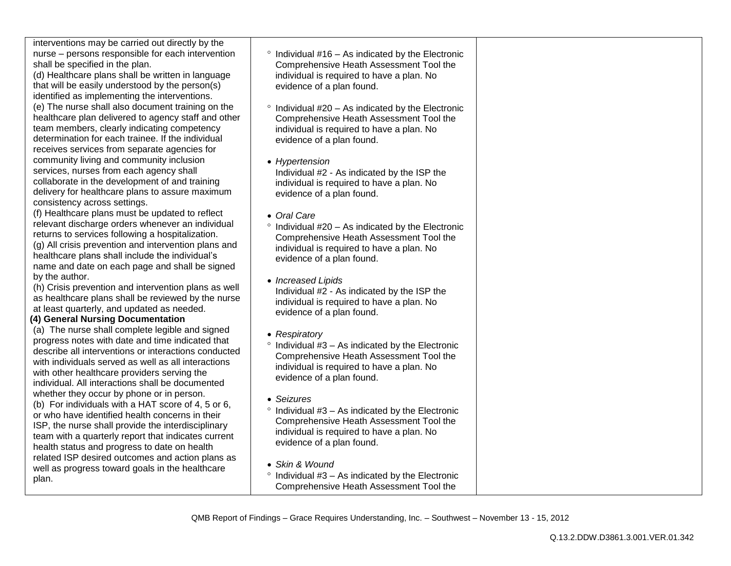| interventions may be carried out directly by the<br>nurse - persons responsible for each intervention<br>shall be specified in the plan.<br>(d) Healthcare plans shall be written in language<br>that will be easily understood by the person(s)<br>identified as implementing the interventions.<br>(e) The nurse shall also document training on the<br>healthcare plan delivered to agency staff and other<br>team members, clearly indicating competency<br>determination for each trainee. If the individual<br>receives services from separate agencies for<br>community living and community inclusion<br>services, nurses from each agency shall<br>collaborate in the development of and training<br>delivery for healthcare plans to assure maximum<br>consistency across settings.<br>(f) Healthcare plans must be updated to reflect<br>relevant discharge orders whenever an individual<br>returns to services following a hospitalization.<br>(g) All crisis prevention and intervention plans and<br>healthcare plans shall include the individual's<br>name and date on each page and shall be signed<br>by the author.<br>(h) Crisis prevention and intervention plans as well<br>as healthcare plans shall be reviewed by the nurse<br>at least quarterly, and updated as needed.<br>(4) General Nursing Documentation<br>(a) The nurse shall complete legible and signed | $\degree$ Individual #16 – As indicated by the Electronic<br>Comprehensive Heath Assessment Tool the<br>individual is required to have a plan. No<br>evidence of a plan found.<br>$\degree$ Individual #20 - As indicated by the Electronic<br>Comprehensive Heath Assessment Tool the<br>individual is required to have a plan. No<br>evidence of a plan found.<br>• Hypertension<br>Individual #2 - As indicated by the ISP the<br>individual is required to have a plan. No<br>evidence of a plan found.<br>• Oral Care<br>$\degree$ Individual #20 – As indicated by the Electronic<br>Comprehensive Heath Assessment Tool the<br>individual is required to have a plan. No<br>evidence of a plan found.<br>• Increased Lipids<br>Individual #2 - As indicated by the ISP the<br>individual is required to have a plan. No<br>evidence of a plan found.<br>• Respiratory |  |
|---------------------------------------------------------------------------------------------------------------------------------------------------------------------------------------------------------------------------------------------------------------------------------------------------------------------------------------------------------------------------------------------------------------------------------------------------------------------------------------------------------------------------------------------------------------------------------------------------------------------------------------------------------------------------------------------------------------------------------------------------------------------------------------------------------------------------------------------------------------------------------------------------------------------------------------------------------------------------------------------------------------------------------------------------------------------------------------------------------------------------------------------------------------------------------------------------------------------------------------------------------------------------------------------------------------------------------------------------------------------------------------------|------------------------------------------------------------------------------------------------------------------------------------------------------------------------------------------------------------------------------------------------------------------------------------------------------------------------------------------------------------------------------------------------------------------------------------------------------------------------------------------------------------------------------------------------------------------------------------------------------------------------------------------------------------------------------------------------------------------------------------------------------------------------------------------------------------------------------------------------------------------------------|--|
|                                                                                                                                                                                                                                                                                                                                                                                                                                                                                                                                                                                                                                                                                                                                                                                                                                                                                                                                                                                                                                                                                                                                                                                                                                                                                                                                                                                             |                                                                                                                                                                                                                                                                                                                                                                                                                                                                                                                                                                                                                                                                                                                                                                                                                                                                              |  |
|                                                                                                                                                                                                                                                                                                                                                                                                                                                                                                                                                                                                                                                                                                                                                                                                                                                                                                                                                                                                                                                                                                                                                                                                                                                                                                                                                                                             |                                                                                                                                                                                                                                                                                                                                                                                                                                                                                                                                                                                                                                                                                                                                                                                                                                                                              |  |
|                                                                                                                                                                                                                                                                                                                                                                                                                                                                                                                                                                                                                                                                                                                                                                                                                                                                                                                                                                                                                                                                                                                                                                                                                                                                                                                                                                                             |                                                                                                                                                                                                                                                                                                                                                                                                                                                                                                                                                                                                                                                                                                                                                                                                                                                                              |  |
|                                                                                                                                                                                                                                                                                                                                                                                                                                                                                                                                                                                                                                                                                                                                                                                                                                                                                                                                                                                                                                                                                                                                                                                                                                                                                                                                                                                             |                                                                                                                                                                                                                                                                                                                                                                                                                                                                                                                                                                                                                                                                                                                                                                                                                                                                              |  |
|                                                                                                                                                                                                                                                                                                                                                                                                                                                                                                                                                                                                                                                                                                                                                                                                                                                                                                                                                                                                                                                                                                                                                                                                                                                                                                                                                                                             |                                                                                                                                                                                                                                                                                                                                                                                                                                                                                                                                                                                                                                                                                                                                                                                                                                                                              |  |
|                                                                                                                                                                                                                                                                                                                                                                                                                                                                                                                                                                                                                                                                                                                                                                                                                                                                                                                                                                                                                                                                                                                                                                                                                                                                                                                                                                                             |                                                                                                                                                                                                                                                                                                                                                                                                                                                                                                                                                                                                                                                                                                                                                                                                                                                                              |  |
| progress notes with date and time indicated that<br>describe all interventions or interactions conducted<br>with individuals served as well as all interactions<br>with other healthcare providers serving the<br>individual. All interactions shall be documented                                                                                                                                                                                                                                                                                                                                                                                                                                                                                                                                                                                                                                                                                                                                                                                                                                                                                                                                                                                                                                                                                                                          | $\degree$ Individual #3 – As indicated by the Electronic<br>Comprehensive Heath Assessment Tool the<br>individual is required to have a plan. No<br>evidence of a plan found.                                                                                                                                                                                                                                                                                                                                                                                                                                                                                                                                                                                                                                                                                                |  |
| whether they occur by phone or in person.<br>(b) For individuals with a HAT score of 4, 5 or 6,<br>or who have identified health concerns in their<br>ISP, the nurse shall provide the interdisciplinary<br>team with a quarterly report that indicates current<br>health status and progress to date on health                                                                                                                                                                                                                                                                                                                                                                                                                                                                                                                                                                                                                                                                                                                                                                                                                                                                                                                                                                                                                                                                             | • Seizures<br>$\degree$ Individual #3 - As indicated by the Electronic<br>Comprehensive Heath Assessment Tool the<br>individual is required to have a plan. No<br>evidence of a plan found.                                                                                                                                                                                                                                                                                                                                                                                                                                                                                                                                                                                                                                                                                  |  |
| related ISP desired outcomes and action plans as<br>well as progress toward goals in the healthcare<br>plan.                                                                                                                                                                                                                                                                                                                                                                                                                                                                                                                                                                                                                                                                                                                                                                                                                                                                                                                                                                                                                                                                                                                                                                                                                                                                                | • Skin & Wound<br>$\degree$ Individual #3 - As indicated by the Electronic<br>Comprehensive Heath Assessment Tool the                                                                                                                                                                                                                                                                                                                                                                                                                                                                                                                                                                                                                                                                                                                                                        |  |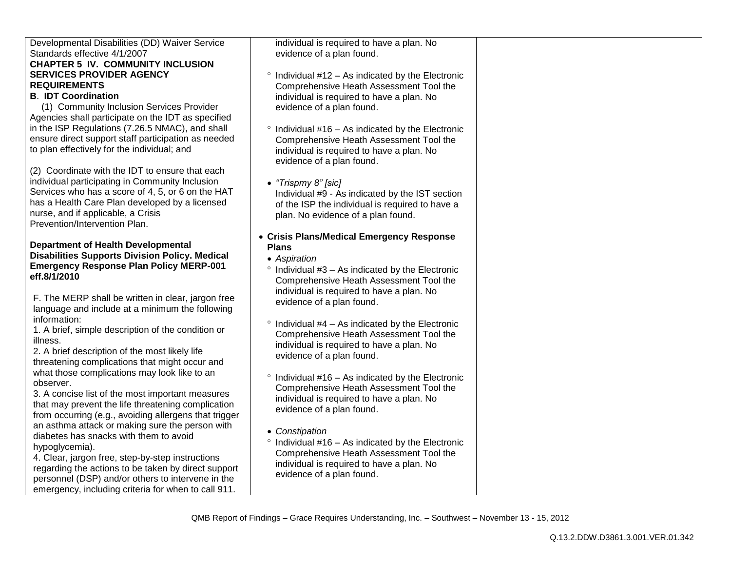| Developmental Disabilities (DD) Waiver Service                     | individual is required to have a plan. No                 |  |
|--------------------------------------------------------------------|-----------------------------------------------------------|--|
| Standards effective 4/1/2007                                       | evidence of a plan found.                                 |  |
| <b>CHAPTER 5 IV. COMMUNITY INCLUSION</b>                           |                                                           |  |
| <b>SERVICES PROVIDER AGENCY</b>                                    | $\degree$ Individual #12 – As indicated by the Electronic |  |
| <b>REQUIREMENTS</b>                                                | Comprehensive Heath Assessment Tool the                   |  |
| <b>B. IDT Coordination</b>                                         | individual is required to have a plan. No                 |  |
| (1) Community Inclusion Services Provider                          | evidence of a plan found.                                 |  |
| Agencies shall participate on the IDT as specified                 |                                                           |  |
| in the ISP Regulations (7.26.5 NMAC), and shall                    | $\degree$ Individual #16 – As indicated by the Electronic |  |
| ensure direct support staff participation as needed                | Comprehensive Heath Assessment Tool the                   |  |
| to plan effectively for the individual; and                        | individual is required to have a plan. No                 |  |
|                                                                    | evidence of a plan found.                                 |  |
| (2) Coordinate with the IDT to ensure that each                    |                                                           |  |
| individual participating in Community Inclusion                    | • "Trispmy 8" [sic]                                       |  |
| Services who has a score of 4, 5, or 6 on the HAT                  | Individual #9 - As indicated by the IST section           |  |
| has a Health Care Plan developed by a licensed                     | of the ISP the individual is required to have a           |  |
| nurse, and if applicable, a Crisis                                 | plan. No evidence of a plan found.                        |  |
| Prevention/Intervention Plan.                                      |                                                           |  |
|                                                                    | • Crisis Plans/Medical Emergency Response                 |  |
| <b>Department of Health Developmental</b>                          | <b>Plans</b>                                              |  |
| <b>Disabilities Supports Division Policy. Medical</b>              | • Aspiration                                              |  |
| <b>Emergency Response Plan Policy MERP-001</b>                     | $\degree$ Individual #3 – As indicated by the Electronic  |  |
| eff.8/1/2010                                                       | Comprehensive Heath Assessment Tool the                   |  |
|                                                                    | individual is required to have a plan. No                 |  |
| F. The MERP shall be written in clear, jargon free                 | evidence of a plan found.                                 |  |
| language and include at a minimum the following                    |                                                           |  |
| information:<br>1. A brief, simple description of the condition or | $\degree$ Individual #4 – As indicated by the Electronic  |  |
| illness.                                                           | Comprehensive Heath Assessment Tool the                   |  |
| 2. A brief description of the most likely life                     | individual is required to have a plan. No                 |  |
| threatening complications that might occur and                     | evidence of a plan found.                                 |  |
| what those complications may look like to an                       |                                                           |  |
| observer.                                                          | $\degree$ Individual #16 - As indicated by the Electronic |  |
| 3. A concise list of the most important measures                   | Comprehensive Heath Assessment Tool the                   |  |
| that may prevent the life threatening complication                 | individual is required to have a plan. No                 |  |
| from occurring (e.g., avoiding allergens that trigger              | evidence of a plan found.                                 |  |
| an asthma attack or making sure the person with                    |                                                           |  |
| diabetes has snacks with them to avoid                             | • Constipation                                            |  |
| hypoglycemia).                                                     | $\degree$ Individual #16 – As indicated by the Electronic |  |
| 4. Clear, jargon free, step-by-step instructions                   | Comprehensive Heath Assessment Tool the                   |  |
| regarding the actions to be taken by direct support                | individual is required to have a plan. No                 |  |
| personnel (DSP) and/or others to intervene in the                  | evidence of a plan found.                                 |  |
| emergency, including criteria for when to call 911.                |                                                           |  |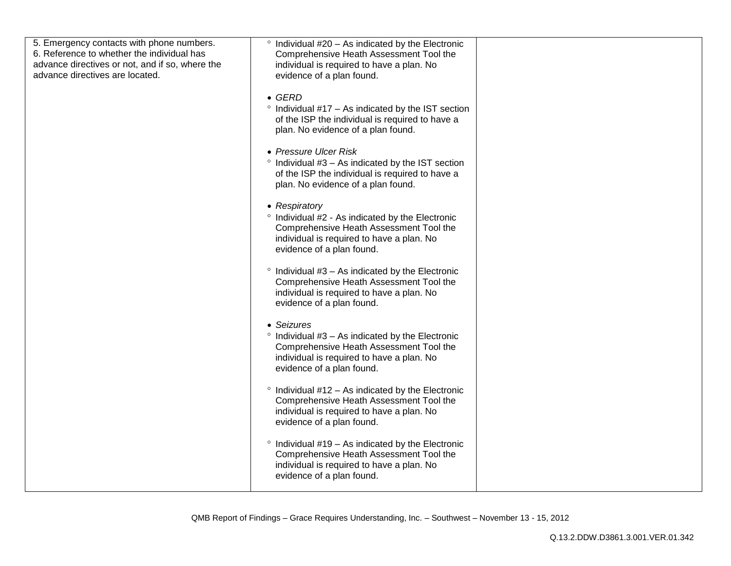| 5. Emergency contacts with phone numbers.<br>6. Reference to whether the individual has<br>advance directives or not, and if so, where the<br>advance directives are located. | $\degree$ Individual #20 – As indicated by the Electronic<br>Comprehensive Heath Assessment Tool the<br>individual is required to have a plan. No<br>evidence of a plan found.                 |  |
|-------------------------------------------------------------------------------------------------------------------------------------------------------------------------------|------------------------------------------------------------------------------------------------------------------------------------------------------------------------------------------------|--|
|                                                                                                                                                                               | $\bullet$ GERD<br>$\degree$ Individual #17 – As indicated by the IST section<br>of the ISP the individual is required to have a<br>plan. No evidence of a plan found.<br>• Pressure Ulcer Risk |  |
|                                                                                                                                                                               | $\degree$ Individual #3 - As indicated by the IST section<br>of the ISP the individual is required to have a<br>plan. No evidence of a plan found.                                             |  |
|                                                                                                                                                                               | • Respiratory<br>° Individual #2 - As indicated by the Electronic<br>Comprehensive Heath Assessment Tool the<br>individual is required to have a plan. No<br>evidence of a plan found.         |  |
|                                                                                                                                                                               | $\degree$ Individual #3 – As indicated by the Electronic<br>Comprehensive Heath Assessment Tool the<br>individual is required to have a plan. No<br>evidence of a plan found.                  |  |
|                                                                                                                                                                               | • Seizures<br>$\degree$ Individual #3 - As indicated by the Electronic<br>Comprehensive Heath Assessment Tool the<br>individual is required to have a plan. No<br>evidence of a plan found.    |  |
|                                                                                                                                                                               | $\degree$ Individual #12 – As indicated by the Electronic<br>Comprehensive Heath Assessment Tool the<br>individual is required to have a plan. No<br>evidence of a plan found.                 |  |
|                                                                                                                                                                               | $\degree$ Individual #19 – As indicated by the Electronic<br>Comprehensive Heath Assessment Tool the<br>individual is required to have a plan. No<br>evidence of a plan found.                 |  |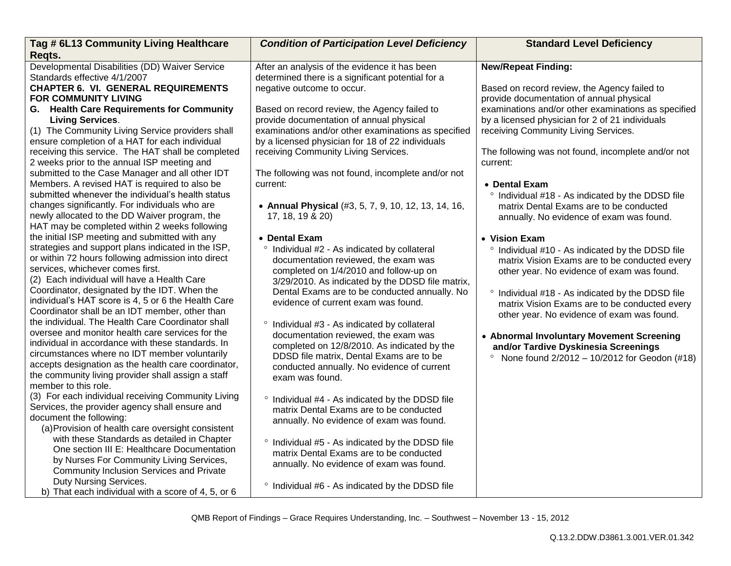| Tag # 6L13 Community Living Healthcare                                     | <b>Condition of Participation Level Deficiency</b>  | <b>Standard Level Deficiency</b>                    |
|----------------------------------------------------------------------------|-----------------------------------------------------|-----------------------------------------------------|
| Regts.<br>Developmental Disabilities (DD) Waiver Service                   | After an analysis of the evidence it has been       | <b>New/Repeat Finding:</b>                          |
| Standards effective 4/1/2007                                               | determined there is a significant potential for a   |                                                     |
| <b>CHAPTER 6. VI. GENERAL REQUIREMENTS</b>                                 | negative outcome to occur.                          | Based on record review, the Agency failed to        |
| <b>FOR COMMUNITY LIVING</b>                                                |                                                     | provide documentation of annual physical            |
| G. Health Care Requirements for Community                                  | Based on record review, the Agency failed to        | examinations and/or other examinations as specified |
| <b>Living Services.</b>                                                    | provide documentation of annual physical            | by a licensed physician for 2 of 21 individuals     |
| (1) The Community Living Service providers shall                           | examinations and/or other examinations as specified | receiving Community Living Services.                |
| ensure completion of a HAT for each individual                             | by a licensed physician for 18 of 22 individuals    |                                                     |
| receiving this service. The HAT shall be completed                         | receiving Community Living Services.                | The following was not found, incomplete and/or not  |
| 2 weeks prior to the annual ISP meeting and                                |                                                     | current:                                            |
| submitted to the Case Manager and all other IDT                            | The following was not found, incomplete and/or not  |                                                     |
| Members. A revised HAT is required to also be                              | current:                                            | • Dental Exam                                       |
| submitted whenever the individual's health status                          |                                                     | ° Individual #18 - As indicated by the DDSD file    |
| changes significantly. For individuals who are                             | • Annual Physical (#3, 5, 7, 9, 10, 12, 13, 14, 16, | matrix Dental Exams are to be conducted             |
| newly allocated to the DD Waiver program, the                              | 17, 18, 19 & 20)                                    | annually. No evidence of exam was found.            |
| HAT may be completed within 2 weeks following                              |                                                     |                                                     |
| the initial ISP meeting and submitted with any                             | • Dental Exam                                       | • Vision Exam                                       |
| strategies and support plans indicated in the ISP,                         | ° Individual #2 - As indicated by collateral        | ° Individual #10 - As indicated by the DDSD file    |
| or within 72 hours following admission into direct                         | documentation reviewed, the exam was                | matrix Vision Exams are to be conducted every       |
| services, whichever comes first.                                           | completed on 1/4/2010 and follow-up on              | other year. No evidence of exam was found.          |
| (2) Each individual will have a Health Care                                | 3/29/2010. As indicated by the DDSD file matrix,    |                                                     |
| Coordinator, designated by the IDT. When the                               | Dental Exams are to be conducted annually. No       | ° Individual #18 - As indicated by the DDSD file    |
| individual's HAT score is 4, 5 or 6 the Health Care                        | evidence of current exam was found.                 | matrix Vision Exams are to be conducted every       |
| Coordinator shall be an IDT member, other than                             |                                                     | other year. No evidence of exam was found.          |
| the individual. The Health Care Coordinator shall                          | ° Individual #3 - As indicated by collateral        |                                                     |
| oversee and monitor health care services for the                           | documentation reviewed, the exam was                | • Abnormal Involuntary Movement Screening           |
| individual in accordance with these standards. In                          | completed on 12/8/2010. As indicated by the         | and/or Tardive Dyskinesia Screenings                |
| circumstances where no IDT member voluntarily                              | DDSD file matrix, Dental Exams are to be            | • None found $2/2012 - 10/2012$ for Geodon (#18)    |
| accepts designation as the health care coordinator,                        | conducted annually. No evidence of current          |                                                     |
| the community living provider shall assign a staff<br>member to this role. | exam was found.                                     |                                                     |
| (3) For each individual receiving Community Living                         |                                                     |                                                     |
| Services, the provider agency shall ensure and                             | ° Individual #4 - As indicated by the DDSD file     |                                                     |
| document the following:                                                    | matrix Dental Exams are to be conducted             |                                                     |
| (a) Provision of health care oversight consistent                          | annually. No evidence of exam was found.            |                                                     |
| with these Standards as detailed in Chapter                                |                                                     |                                                     |
| One section III E: Healthcare Documentation                                | ° Individual #5 - As indicated by the DDSD file     |                                                     |
| by Nurses For Community Living Services,                                   | matrix Dental Exams are to be conducted             |                                                     |
| Community Inclusion Services and Private                                   | annually. No evidence of exam was found.            |                                                     |
| Duty Nursing Services.                                                     |                                                     |                                                     |
| b) That each individual with a score of 4, 5, or 6                         | ° Individual #6 - As indicated by the DDSD file     |                                                     |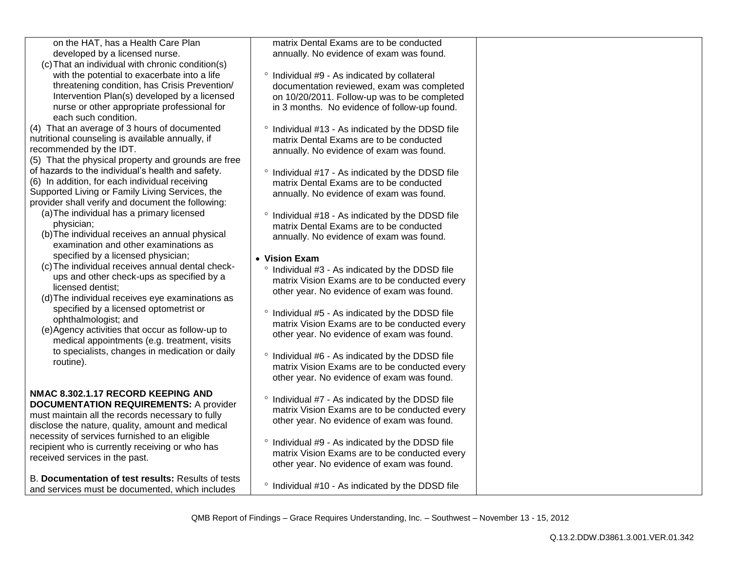on the HAT, has a Health Care Plan developed by a licensed nurse.

(c)That an individual with chronic condition(s) with the potential to exacerbate into a life threatening condition, has Crisis Prevention/ Intervention Plan(s) developed by a licensed nurse or other appropriate professional for each such condition.

(4) That an average of 3 hours of documented nutritional counseling is available annually, if recommended by the IDT.

(5) That the physical property and grounds are free of hazards to the individual's health and safety.

(6) In addition, for each individual receiving Supported Living or Family Living Services, the provider shall verify and document the following:

- (a)The individual has a primary licensed physician;
- (b)The individual receives an annual physical examination and other examinations as specified by a licensed physician;
- (c)The individual receives annual dental checkups and other check-ups as specified by a licensed dentist:
- (d)The individual receives eye examinations as specified by a licensed optometrist or ophthalmologist; and
- (e)Agency activities that occur as follow-up to medical appointments (e.g. treatment, visits to specialists, changes in medication or daily routine).

#### **NMAC 8.302.1.17 RECORD KEEPING AND DOCUMENTATION REQUIREMENTS:** A provider

must maintain all the records necessary to fully disclose the nature, quality, amount and medical necessity of services furnished to an eligible recipient who is currently receiving or who has received services in the past.

B. **Documentation of test results:** Results of tests and services must be documented, which includes

matrix Dental Exams are to be conducted annually. No evidence of exam was found.

- $\degree$  Individual #9 As indicated by collateral documentation reviewed, exam was completed on 10/20/2011. Follow-up was to be completed in 3 months. No evidence of follow-up found.
- $\degree$  Individual #13 As indicated by the DDSD file matrix Dental Exams are to be conducted annually. No evidence of exam was found.
- $\degree$  Individual #17 As indicated by the DDSD file matrix Dental Exams are to be conducted annually. No evidence of exam was found.
- $\degree$  Individual #18 As indicated by the DDSD file matrix Dental Exams are to be conducted annually. No evidence of exam was found.
- **Vision Exam**
- $\degree$  Individual #3 As indicated by the DDSD file matrix Vision Exams are to be conducted every other year. No evidence of exam was found.
- $\degree$  Individual #5 As indicated by the DDSD file matrix Vision Exams are to be conducted every other year. No evidence of exam was found.
- $\degree$  Individual #6 As indicated by the DDSD file matrix Vision Exams are to be conducted every other year. No evidence of exam was found.
- $\degree$  Individual #7 As indicated by the DDSD file matrix Vision Exams are to be conducted every other year. No evidence of exam was found.
- $\degree$  Individual #9 As indicated by the DDSD file matrix Vision Exams are to be conducted every other year. No evidence of exam was found.
- $\degree$  Individual #10 As indicated by the DDSD file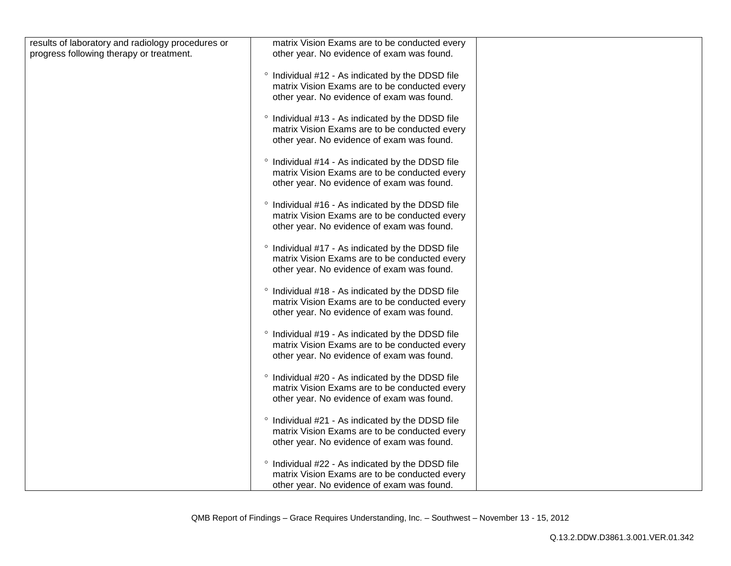| results of laboratory and radiology procedures or | matrix Vision Exams are to be conducted every                                                                                                   |  |
|---------------------------------------------------|-------------------------------------------------------------------------------------------------------------------------------------------------|--|
| progress following therapy or treatment.          | other year. No evidence of exam was found.                                                                                                      |  |
|                                                   | ° Individual #12 - As indicated by the DDSD file<br>matrix Vision Exams are to be conducted every<br>other year. No evidence of exam was found. |  |
|                                                   | ° Individual #13 - As indicated by the DDSD file<br>matrix Vision Exams are to be conducted every<br>other year. No evidence of exam was found. |  |
|                                                   | ° Individual #14 - As indicated by the DDSD file<br>matrix Vision Exams are to be conducted every<br>other year. No evidence of exam was found. |  |
|                                                   | ° Individual #16 - As indicated by the DDSD file<br>matrix Vision Exams are to be conducted every<br>other year. No evidence of exam was found. |  |
|                                                   | ° Individual #17 - As indicated by the DDSD file<br>matrix Vision Exams are to be conducted every<br>other year. No evidence of exam was found. |  |
|                                                   | ° Individual #18 - As indicated by the DDSD file<br>matrix Vision Exams are to be conducted every<br>other year. No evidence of exam was found. |  |
|                                                   | ° Individual #19 - As indicated by the DDSD file<br>matrix Vision Exams are to be conducted every<br>other year. No evidence of exam was found. |  |
|                                                   | ° Individual #20 - As indicated by the DDSD file<br>matrix Vision Exams are to be conducted every<br>other year. No evidence of exam was found. |  |
|                                                   | ° Individual #21 - As indicated by the DDSD file<br>matrix Vision Exams are to be conducted every<br>other year. No evidence of exam was found. |  |
|                                                   | ° Individual #22 - As indicated by the DDSD file<br>matrix Vision Exams are to be conducted every<br>other year. No evidence of exam was found. |  |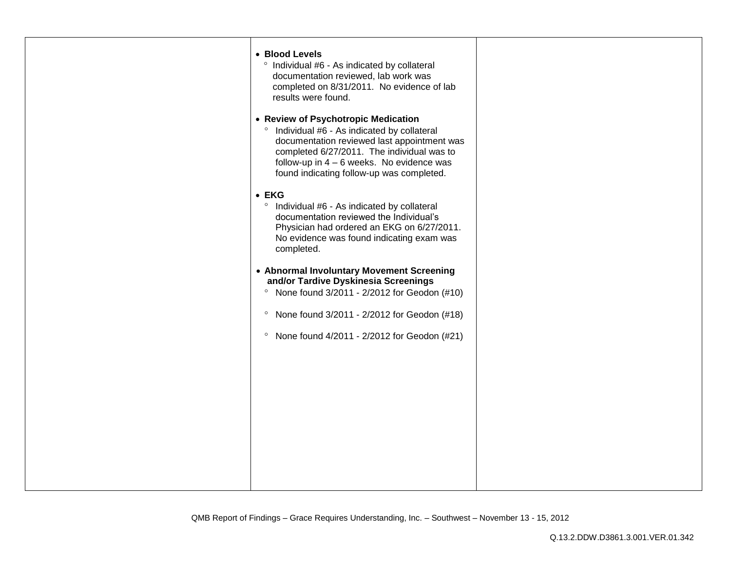| • Blood Levels<br>° Individual #6 - As indicated by collateral<br>documentation reviewed, lab work was<br>completed on 8/31/2011. No evidence of lab<br>results were found.                                                                                                  |  |
|------------------------------------------------------------------------------------------------------------------------------------------------------------------------------------------------------------------------------------------------------------------------------|--|
| • Review of Psychotropic Medication<br>° Individual #6 - As indicated by collateral<br>documentation reviewed last appointment was<br>completed 6/27/2011. The individual was to<br>follow-up in $4 - 6$ weeks. No evidence was<br>found indicating follow-up was completed. |  |
| $\bullet$ EKG<br>° Individual #6 - As indicated by collateral<br>documentation reviewed the Individual's<br>Physician had ordered an EKG on 6/27/2011.<br>No evidence was found indicating exam was<br>completed.                                                            |  |
| • Abnormal Involuntary Movement Screening<br>and/or Tardive Dyskinesia Screenings<br><sup>o</sup> None found 3/2011 - 2/2012 for Geodon (#10)                                                                                                                                |  |
| <sup>o</sup> None found 3/2011 - 2/2012 for Geodon (#18)<br><sup>o</sup> None found 4/2011 - 2/2012 for Geodon (#21)                                                                                                                                                         |  |
|                                                                                                                                                                                                                                                                              |  |
|                                                                                                                                                                                                                                                                              |  |
|                                                                                                                                                                                                                                                                              |  |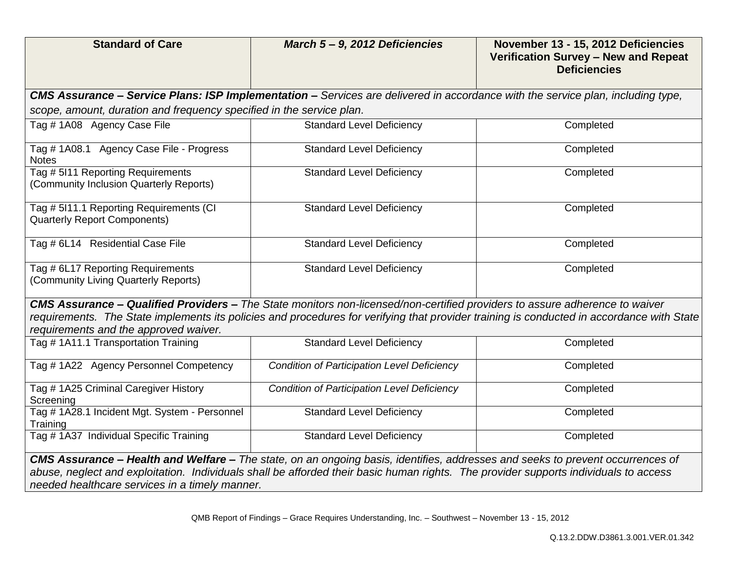| <b>Standard of Care</b>                                                                                                                                                                                                                                                                                                  | March 5-9, 2012 Deficiencies                       | November 13 - 15, 2012 Deficiencies<br><b>Verification Survey - New and Repeat</b><br><b>Deficiencies</b>                                 |
|--------------------------------------------------------------------------------------------------------------------------------------------------------------------------------------------------------------------------------------------------------------------------------------------------------------------------|----------------------------------------------------|-------------------------------------------------------------------------------------------------------------------------------------------|
| CMS Assurance - Service Plans: ISP Implementation - Services are delivered in accordance with the service plan, including type,                                                                                                                                                                                          |                                                    |                                                                                                                                           |
| scope, amount, duration and frequency specified in the service plan.                                                                                                                                                                                                                                                     |                                                    |                                                                                                                                           |
| Tag #1A08 Agency Case File                                                                                                                                                                                                                                                                                               | <b>Standard Level Deficiency</b>                   | Completed                                                                                                                                 |
| Tag # 1A08.1 Agency Case File - Progress<br><b>Notes</b>                                                                                                                                                                                                                                                                 | <b>Standard Level Deficiency</b>                   | Completed                                                                                                                                 |
| Tag # 5111 Reporting Requirements<br>(Community Inclusion Quarterly Reports)                                                                                                                                                                                                                                             | <b>Standard Level Deficiency</b>                   | Completed                                                                                                                                 |
| Tag # 5l11.1 Reporting Requirements (CI<br><b>Quarterly Report Components)</b>                                                                                                                                                                                                                                           | <b>Standard Level Deficiency</b>                   | Completed                                                                                                                                 |
| Tag # 6L14 Residential Case File                                                                                                                                                                                                                                                                                         | <b>Standard Level Deficiency</b>                   | Completed                                                                                                                                 |
| Tag # 6L17 Reporting Requirements<br>(Community Living Quarterly Reports)                                                                                                                                                                                                                                                | <b>Standard Level Deficiency</b>                   | Completed                                                                                                                                 |
| CMS Assurance - Qualified Providers - The State monitors non-licensed/non-certified providers to assure adherence to waiver<br>requirements and the approved waiver.                                                                                                                                                     |                                                    | requirements. The State implements its policies and procedures for verifying that provider training is conducted in accordance with State |
| Tag # 1A11.1 Transportation Training                                                                                                                                                                                                                                                                                     | <b>Standard Level Deficiency</b>                   | Completed                                                                                                                                 |
| Tag #1A22 Agency Personnel Competency                                                                                                                                                                                                                                                                                    | <b>Condition of Participation Level Deficiency</b> | Completed                                                                                                                                 |
| Tag # 1A25 Criminal Caregiver History<br>Screening                                                                                                                                                                                                                                                                       | <b>Condition of Participation Level Deficiency</b> | Completed                                                                                                                                 |
| Tag # 1A28.1 Incident Mgt. System - Personnel<br>Training                                                                                                                                                                                                                                                                | <b>Standard Level Deficiency</b>                   | Completed                                                                                                                                 |
| Tag # 1A37 Individual Specific Training                                                                                                                                                                                                                                                                                  | <b>Standard Level Deficiency</b>                   | Completed                                                                                                                                 |
| CMS Assurance - Health and Welfare - The state, on an ongoing basis, identifies, addresses and seeks to prevent occurrences of<br>abuse, neglect and exploitation. Individuals shall be afforded their basic human rights. The provider supports individuals to access<br>needed healthcare services in a timely manner. |                                                    |                                                                                                                                           |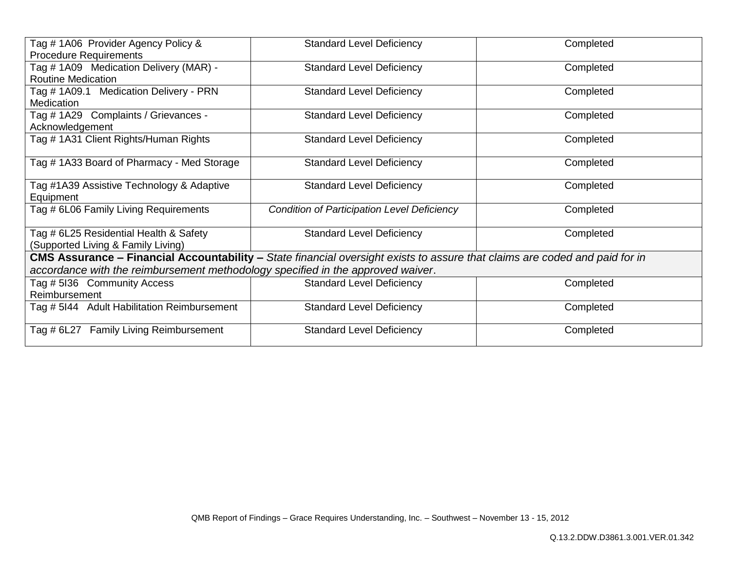| Tag # 1A06 Provider Agency Policy &                                             | <b>Standard Level Deficiency</b>                                                                                            | Completed |
|---------------------------------------------------------------------------------|-----------------------------------------------------------------------------------------------------------------------------|-----------|
| <b>Procedure Requirements</b>                                                   |                                                                                                                             |           |
| Tag # 1A09 Medication Delivery (MAR) -                                          | <b>Standard Level Deficiency</b>                                                                                            | Completed |
| <b>Routine Medication</b>                                                       |                                                                                                                             |           |
| Tag # 1A09.1 Medication Delivery - PRN                                          | <b>Standard Level Deficiency</b>                                                                                            | Completed |
| <b>Medication</b>                                                               |                                                                                                                             |           |
| Tag # 1A29 Complaints / Grievances -                                            | <b>Standard Level Deficiency</b>                                                                                            | Completed |
| Acknowledgement                                                                 |                                                                                                                             |           |
| Tag # 1A31 Client Rights/Human Rights                                           | <b>Standard Level Deficiency</b>                                                                                            | Completed |
|                                                                                 |                                                                                                                             |           |
| Tag # 1A33 Board of Pharmacy - Med Storage                                      | <b>Standard Level Deficiency</b>                                                                                            | Completed |
|                                                                                 |                                                                                                                             |           |
| Tag #1A39 Assistive Technology & Adaptive                                       | <b>Standard Level Deficiency</b>                                                                                            | Completed |
| Equipment                                                                       |                                                                                                                             |           |
| Tag # 6L06 Family Living Requirements                                           | <b>Condition of Participation Level Deficiency</b>                                                                          | Completed |
|                                                                                 |                                                                                                                             |           |
| Tag # 6L25 Residential Health & Safety                                          | <b>Standard Level Deficiency</b>                                                                                            | Completed |
| (Supported Living & Family Living)                                              |                                                                                                                             |           |
|                                                                                 | CMS Assurance - Financial Accountability - State financial oversight exists to assure that claims are coded and paid for in |           |
| accordance with the reimbursement methodology specified in the approved waiver. |                                                                                                                             |           |
| Tag # 5136 Community Access                                                     | <b>Standard Level Deficiency</b>                                                                                            | Completed |
| Reimbursement                                                                   |                                                                                                                             |           |
| Tag # 5I44 Adult Habilitation Reimbursement                                     | <b>Standard Level Deficiency</b>                                                                                            | Completed |
|                                                                                 |                                                                                                                             |           |
| Tag # 6L27 Family Living Reimbursement                                          | <b>Standard Level Deficiency</b>                                                                                            | Completed |
|                                                                                 |                                                                                                                             |           |